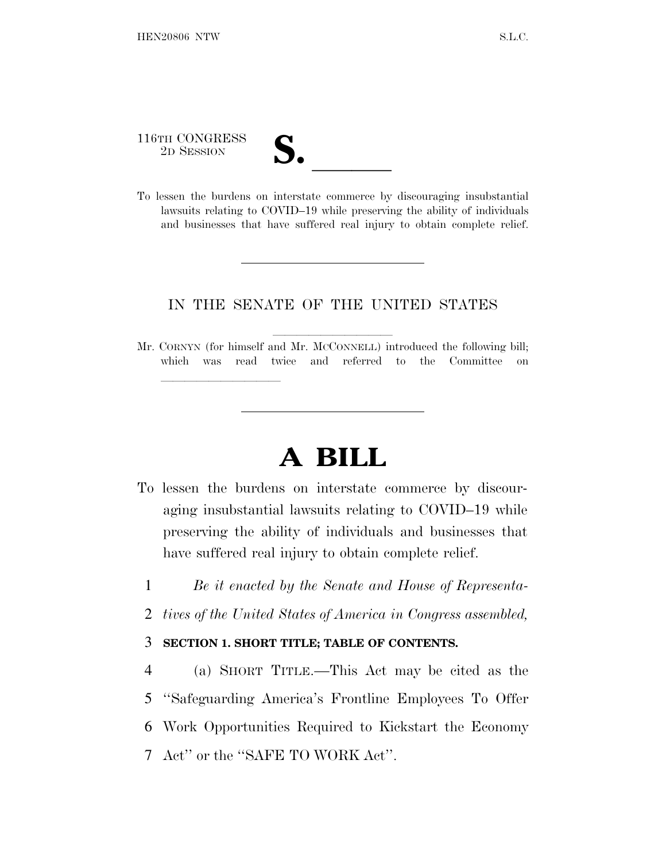116TH CONGRESS

lle and a second control of the second control of the second control of the second control of the second control of the second control of the second control of the second control of the second control of the second control

116TH CONGRESS<br>
2D SESSION<br>
To lessen the burdens on interstate commerce by discouraging insubstantial lawsuits relating to COVID–19 while preserving the ability of individuals and businesses that have suffered real injury to obtain complete relief.

### IN THE SENATE OF THE UNITED STATES

Mr. CORNYN (for himself and Mr. MCCONNELL) introduced the following bill; which was read twice and referred to the Committee on

# **A BILL**

- To lessen the burdens on interstate commerce by discouraging insubstantial lawsuits relating to COVID–19 while preserving the ability of individuals and businesses that have suffered real injury to obtain complete relief.
	- 1 *Be it enacted by the Senate and House of Representa-*
	- 2 *tives of the United States of America in Congress assembled,*

### 3 **SECTION 1. SHORT TITLE; TABLE OF CONTENTS.**

 (a) SHORT TITLE.—This Act may be cited as the ''Safeguarding America's Frontline Employees To Offer Work Opportunities Required to Kickstart the Economy Act'' or the ''SAFE TO WORK Act''.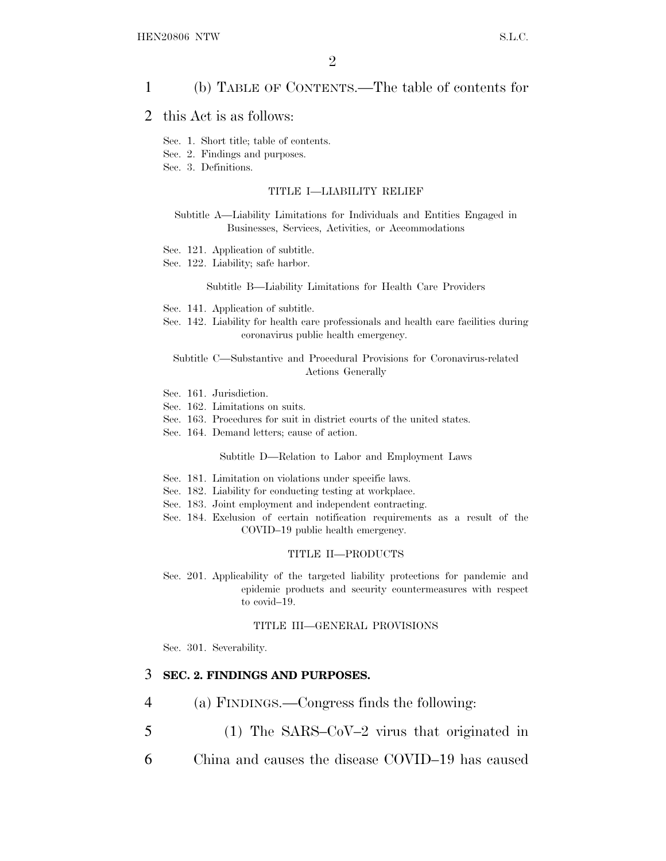### 1 (b) TABLE OF CONTENTS.—The table of contents for

### 2 this Act is as follows:

- Sec. 1. Short title; table of contents.
- Sec. 2. Findings and purposes.
- Sec. 3. Definitions.

#### TITLE I—LIABILITY RELIEF

Subtitle A—Liability Limitations for Individuals and Entities Engaged in Businesses, Services, Activities, or Accommodations

- Sec. 121. Application of subtitle.
- Sec. 122. Liability; safe harbor.

#### Subtitle B—Liability Limitations for Health Care Providers

- Sec. 141. Application of subtitle.
- Sec. 142. Liability for health care professionals and health care facilities during coronavirus public health emergency.

Subtitle C—Substantive and Procedural Provisions for Coronavirus-related Actions Generally

- Sec. 161. Jurisdiction.
- Sec. 162. Limitations on suits.
- Sec. 163. Procedures for suit in district courts of the united states.
- Sec. 164. Demand letters; cause of action.

Subtitle D—Relation to Labor and Employment Laws

- Sec. 181. Limitation on violations under specific laws.
- Sec. 182. Liability for conducting testing at workplace.
- Sec. 183. Joint employment and independent contracting.
- Sec. 184. Exclusion of certain notification requirements as a result of the COVID–19 public health emergency.

#### TITLE II—PRODUCTS

Sec. 201. Applicability of the targeted liability protections for pandemic and epidemic products and security countermeasures with respect to covid–19.

#### TITLE III—GENERAL PROVISIONS

Sec. 301. Severability.

### 3 **SEC. 2. FINDINGS AND PURPOSES.**

- 4 (a) FINDINGS.—Congress finds the following:
- 5 (1) The SARS–CoV–2 virus that originated in
- 6 China and causes the disease COVID–19 has caused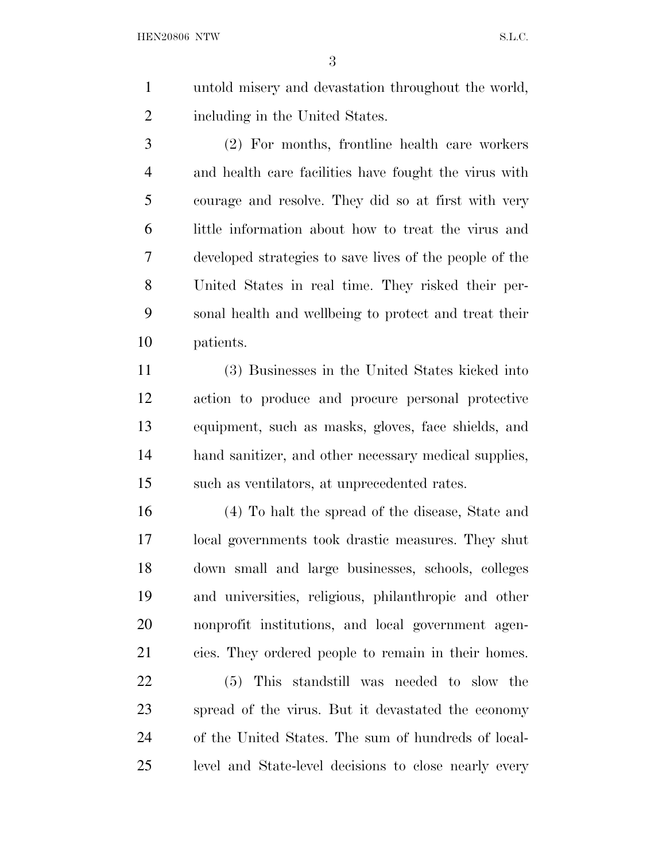untold misery and devastation throughout the world, including in the United States.

 (2) For months, frontline health care workers and health care facilities have fought the virus with courage and resolve. They did so at first with very little information about how to treat the virus and developed strategies to save lives of the people of the United States in real time. They risked their per- sonal health and wellbeing to protect and treat their patients.

 (3) Businesses in the United States kicked into action to produce and procure personal protective equipment, such as masks, gloves, face shields, and hand sanitizer, and other necessary medical supplies, such as ventilators, at unprecedented rates.

 (4) To halt the spread of the disease, State and local governments took drastic measures. They shut down small and large businesses, schools, colleges and universities, religious, philanthropic and other nonprofit institutions, and local government agen-cies. They ordered people to remain in their homes.

 (5) This standstill was needed to slow the spread of the virus. But it devastated the economy of the United States. The sum of hundreds of local-level and State-level decisions to close nearly every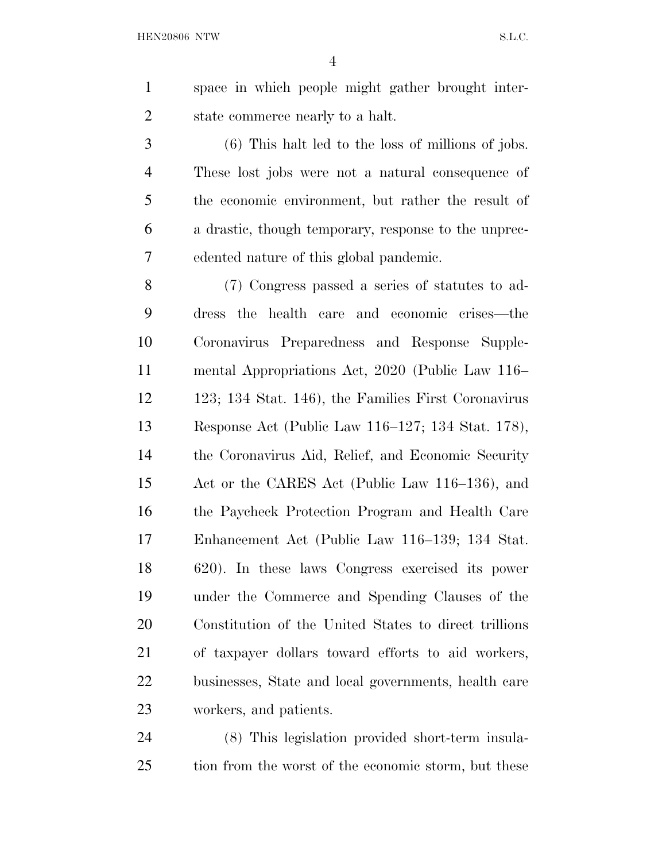space in which people might gather brought inter-state commerce nearly to a halt.

 (6) This halt led to the loss of millions of jobs. These lost jobs were not a natural consequence of the economic environment, but rather the result of a drastic, though temporary, response to the unprec-edented nature of this global pandemic.

 (7) Congress passed a series of statutes to ad- dress the health care and economic crises—the Coronavirus Preparedness and Response Supple- mental Appropriations Act, 2020 (Public Law 116– 123; 134 Stat. 146), the Families First Coronavirus Response Act (Public Law 116–127; 134 Stat. 178), the Coronavirus Aid, Relief, and Economic Security Act or the CARES Act (Public Law 116–136), and the Paycheck Protection Program and Health Care Enhancement Act (Public Law 116–139; 134 Stat. 620). In these laws Congress exercised its power under the Commerce and Spending Clauses of the Constitution of the United States to direct trillions of taxpayer dollars toward efforts to aid workers, businesses, State and local governments, health care workers, and patients.

 (8) This legislation provided short-term insula-tion from the worst of the economic storm, but these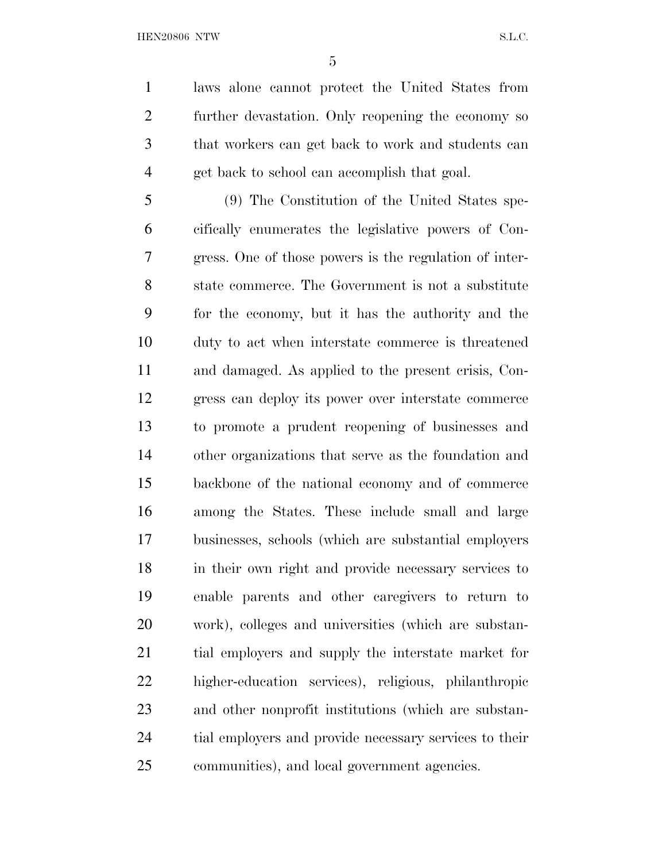laws alone cannot protect the United States from further devastation. Only reopening the economy so that workers can get back to work and students can get back to school can accomplish that goal.

 (9) The Constitution of the United States spe- cifically enumerates the legislative powers of Con- gress. One of those powers is the regulation of inter- state commerce. The Government is not a substitute for the economy, but it has the authority and the duty to act when interstate commerce is threatened and damaged. As applied to the present crisis, Con- gress can deploy its power over interstate commerce to promote a prudent reopening of businesses and other organizations that serve as the foundation and backbone of the national economy and of commerce among the States. These include small and large businesses, schools (which are substantial employers in their own right and provide necessary services to enable parents and other caregivers to return to work), colleges and universities (which are substan- tial employers and supply the interstate market for higher-education services), religious, philanthropic and other nonprofit institutions (which are substan- tial employers and provide necessary services to their communities), and local government agencies.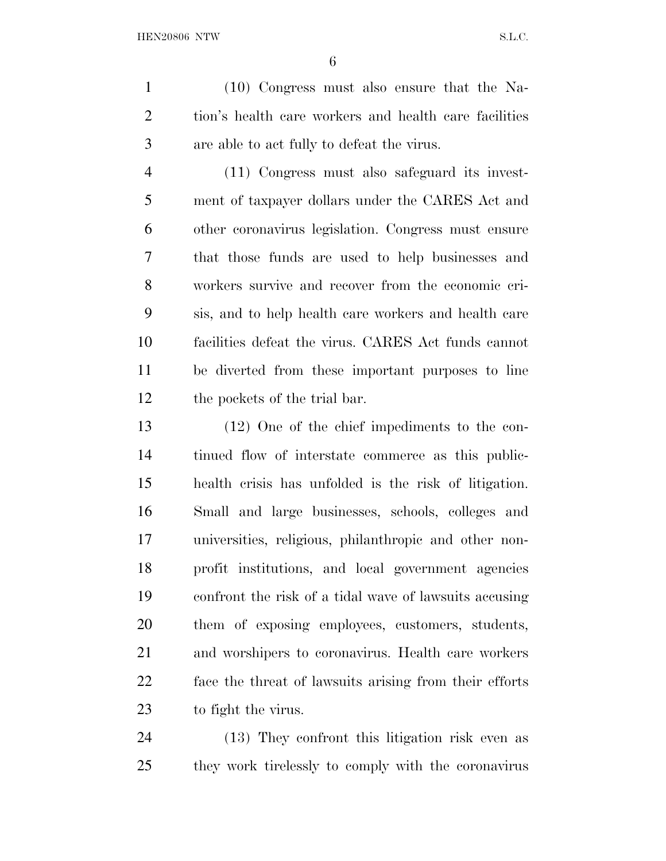(10) Congress must also ensure that the Na- tion's health care workers and health care facilities are able to act fully to defeat the virus.

 (11) Congress must also safeguard its invest- ment of taxpayer dollars under the CARES Act and other coronavirus legislation. Congress must ensure that those funds are used to help businesses and workers survive and recover from the economic cri- sis, and to help health care workers and health care facilities defeat the virus. CARES Act funds cannot be diverted from these important purposes to line the pockets of the trial bar.

 (12) One of the chief impediments to the con- tinued flow of interstate commerce as this public- health crisis has unfolded is the risk of litigation. Small and large businesses, schools, colleges and universities, religious, philanthropic and other non- profit institutions, and local government agencies confront the risk of a tidal wave of lawsuits accusing them of exposing employees, customers, students, and worshipers to coronavirus. Health care workers face the threat of lawsuits arising from their efforts to fight the virus.

 (13) They confront this litigation risk even as they work tirelessly to comply with the coronavirus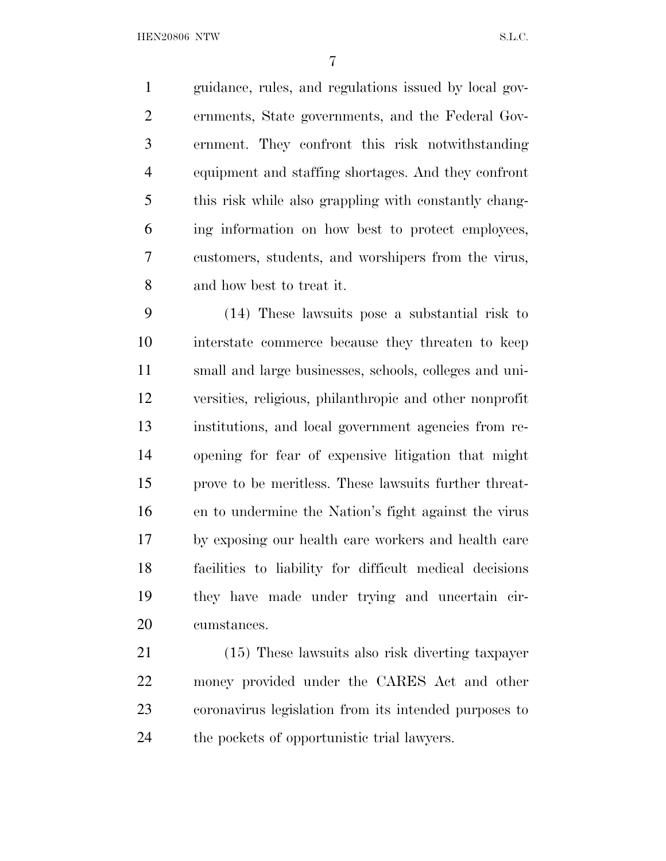guidance, rules, and regulations issued by local gov- ernments, State governments, and the Federal Gov- ernment. They confront this risk notwithstanding equipment and staffing shortages. And they confront this risk while also grappling with constantly chang- ing information on how best to protect employees, customers, students, and worshipers from the virus, and how best to treat it.

 (14) These lawsuits pose a substantial risk to interstate commerce because they threaten to keep small and large businesses, schools, colleges and uni- versities, religious, philanthropic and other nonprofit institutions, and local government agencies from re- opening for fear of expensive litigation that might prove to be meritless. These lawsuits further threat- en to undermine the Nation's fight against the virus by exposing our health care workers and health care facilities to liability for difficult medical decisions they have made under trying and uncertain cir-cumstances.

 (15) These lawsuits also risk diverting taxpayer money provided under the CARES Act and other coronavirus legislation from its intended purposes to the pockets of opportunistic trial lawyers.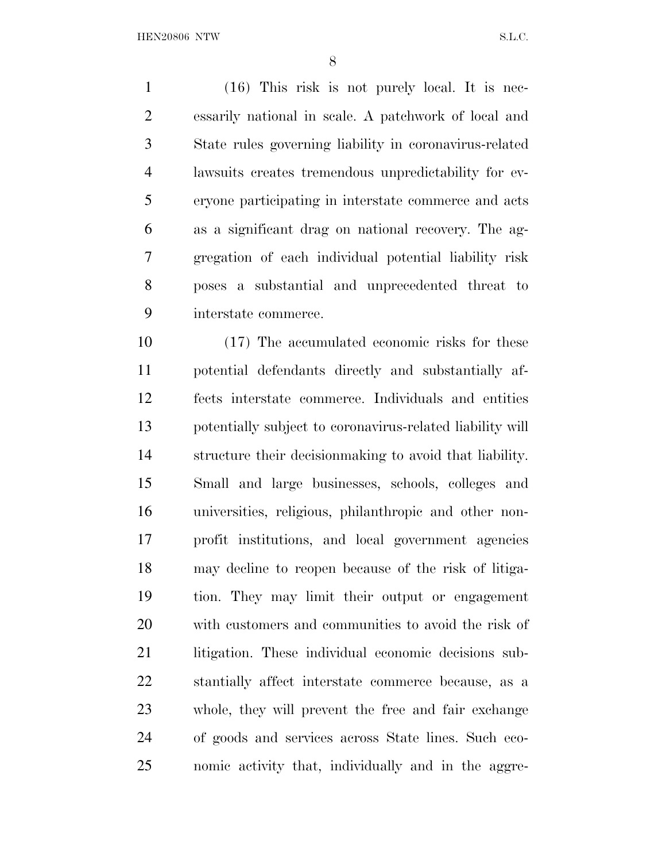(16) This risk is not purely local. It is nec- essarily national in scale. A patchwork of local and State rules governing liability in coronavirus-related lawsuits creates tremendous unpredictability for ev- eryone participating in interstate commerce and acts as a significant drag on national recovery. The ag- gregation of each individual potential liability risk poses a substantial and unprecedented threat to interstate commerce.

 (17) The accumulated economic risks for these potential defendants directly and substantially af- fects interstate commerce. Individuals and entities potentially subject to coronavirus-related liability will structure their decisionmaking to avoid that liability. Small and large businesses, schools, colleges and universities, religious, philanthropic and other non- profit institutions, and local government agencies may decline to reopen because of the risk of litiga- tion. They may limit their output or engagement with customers and communities to avoid the risk of litigation. These individual economic decisions sub- stantially affect interstate commerce because, as a whole, they will prevent the free and fair exchange of goods and services across State lines. Such eco-nomic activity that, individually and in the aggre-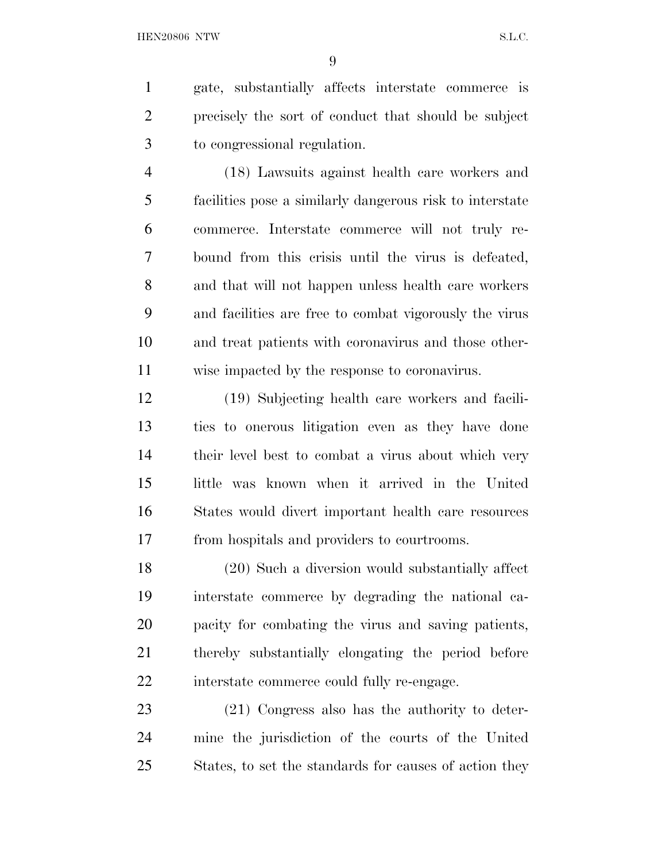gate, substantially affects interstate commerce is precisely the sort of conduct that should be subject to congressional regulation.

 (18) Lawsuits against health care workers and facilities pose a similarly dangerous risk to interstate commerce. Interstate commerce will not truly re- bound from this crisis until the virus is defeated, and that will not happen unless health care workers and facilities are free to combat vigorously the virus and treat patients with coronavirus and those other-wise impacted by the response to coronavirus.

 (19) Subjecting health care workers and facili- ties to onerous litigation even as they have done their level best to combat a virus about which very little was known when it arrived in the United States would divert important health care resources from hospitals and providers to courtrooms.

 (20) Such a diversion would substantially affect interstate commerce by degrading the national ca- pacity for combating the virus and saving patients, thereby substantially elongating the period before interstate commerce could fully re-engage.

 (21) Congress also has the authority to deter- mine the jurisdiction of the courts of the United States, to set the standards for causes of action they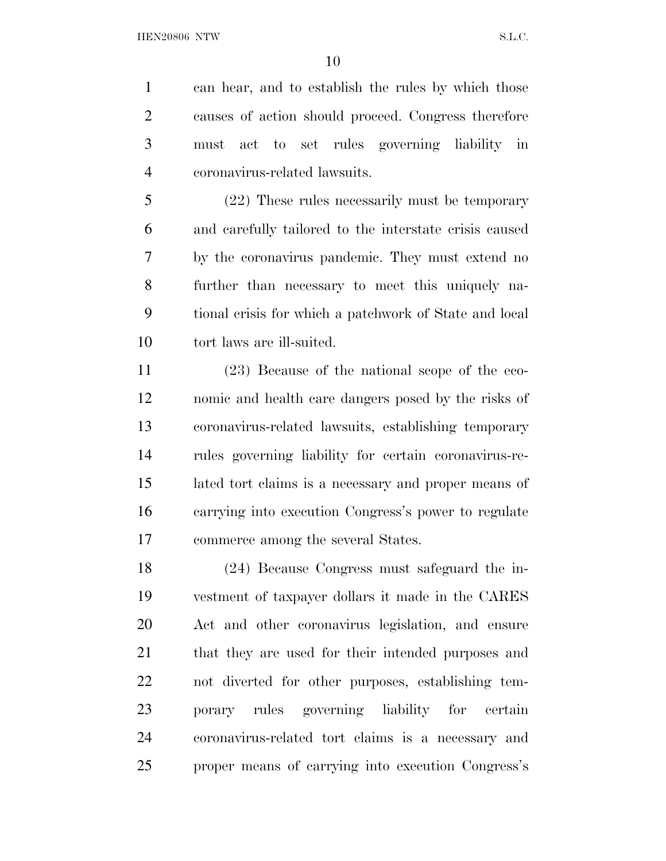can hear, and to establish the rules by which those causes of action should proceed. Congress therefore must act to set rules governing liability in coronavirus-related lawsuits.

 (22) These rules necessarily must be temporary and carefully tailored to the interstate crisis caused by the coronavirus pandemic. They must extend no further than necessary to meet this uniquely na- tional crisis for which a patchwork of State and local tort laws are ill-suited.

 (23) Because of the national scope of the eco- nomic and health care dangers posed by the risks of coronavirus-related lawsuits, establishing temporary rules governing liability for certain coronavirus-re- lated tort claims is a necessary and proper means of carrying into execution Congress's power to regulate commerce among the several States.

 (24) Because Congress must safeguard the in- vestment of taxpayer dollars it made in the CARES Act and other coronavirus legislation, and ensure that they are used for their intended purposes and not diverted for other purposes, establishing tem- porary rules governing liability for certain coronavirus-related tort claims is a necessary and proper means of carrying into execution Congress's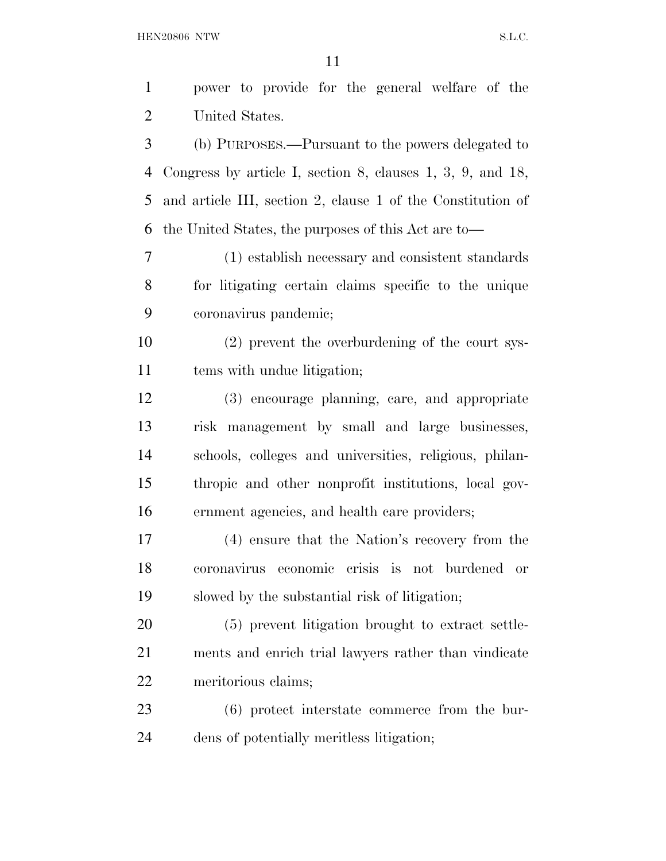${\bf HEN20806} \begin{tabular}{l} NTW \\ \hline \end{tabular} \begin{tabular}{l} \multicolumn{2}{l}{{\bf{N.5}}}\label{fig:10} \end{tabular}$ 

| $\mathbf{1}$ | power to provide for the general welfare of the                  |
|--------------|------------------------------------------------------------------|
| 2            | United States.                                                   |
| 3            | (b) PURPOSES.—Pursuant to the powers delegated to                |
| 4            | Congress by article I, section 8, clauses $1, 3, 9$ , and $18$ , |
| 5            | and article III, section 2, clause 1 of the Constitution of      |
| 6            | the United States, the purposes of this Act are to-              |
| $\tau$       | (1) establish necessary and consistent standards                 |
| 8            | for litigating certain claims specific to the unique             |
| 9            | coronavirus pandemic;                                            |
| 10           | (2) prevent the overburdening of the court sys-                  |
| 11           | tems with undue litigation;                                      |
| 12           | (3) encourage planning, care, and appropriate                    |
| 13           | risk management by small and large businesses,                   |
| 14           | schools, colleges and universities, religious, philan-           |
| 15           | thropic and other nonprofit institutions, local gov-             |
| 16           | ernment agencies, and health care providers;                     |
| $17\,$       | (4) ensure that the Nation's recovery from the                   |
| 18           | economic crisis is not burdened<br>coronavirus<br><b>or</b>      |
| 19           | slowed by the substantial risk of litigation;                    |
| 20           | (5) prevent litigation brought to extract settle-                |
| 21           | ments and enrich trial lawyers rather than vindicate             |
| 22           | meritorious claims;                                              |
| 23           | $(6)$ protect interstate commerce from the bur-                  |
| 24           | dens of potentially meritless litigation;                        |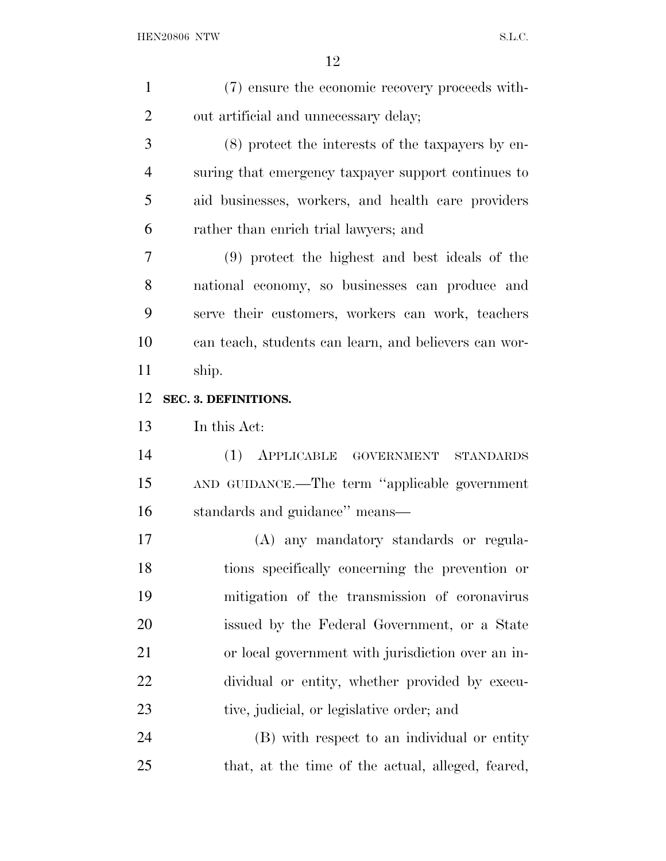| $\mathbf{1}$   | (7) ensure the economic recovery proceeds with-       |
|----------------|-------------------------------------------------------|
| $\overline{2}$ | out artificial and unnecessary delay;                 |
| 3              | (8) protect the interests of the taxpayers by en-     |
| $\overline{4}$ | suring that emergency taxpayer support continues to   |
| 5              | aid businesses, workers, and health care providers    |
| 6              | rather than enrich trial lawyers; and                 |
| 7              | (9) protect the highest and best ideals of the        |
| 8              | national economy, so businesses can produce and       |
| 9              | serve their customers, workers can work, teachers     |
| 10             | can teach, students can learn, and believers can wor- |
| 11             | ship.                                                 |
| 12             | SEC. 3. DEFINITIONS.                                  |
| 13             | In this Act:                                          |
| 14             | $(1)$ APPLICABLE<br>GOVERNMENT STANDARDS              |
| 15             | AND GUIDANCE.—The term "applicable government         |
| 16             | standards and guidance" means-                        |
| 17             | (A) any mandatory standards or regula-                |
| 18             | tions specifically concerning the prevention or       |
| 19             | mitigation of the transmission of coronavirus         |
| 20             | issued by the Federal Government, or a State          |
| 21             | or local government with jurisdiction over an in-     |
| 22             | dividual or entity, whether provided by execu-        |
| 23             | tive, judicial, or legislative order; and             |
| 24             | (B) with respect to an individual or entity           |
| 25             | that, at the time of the actual, alleged, feared,     |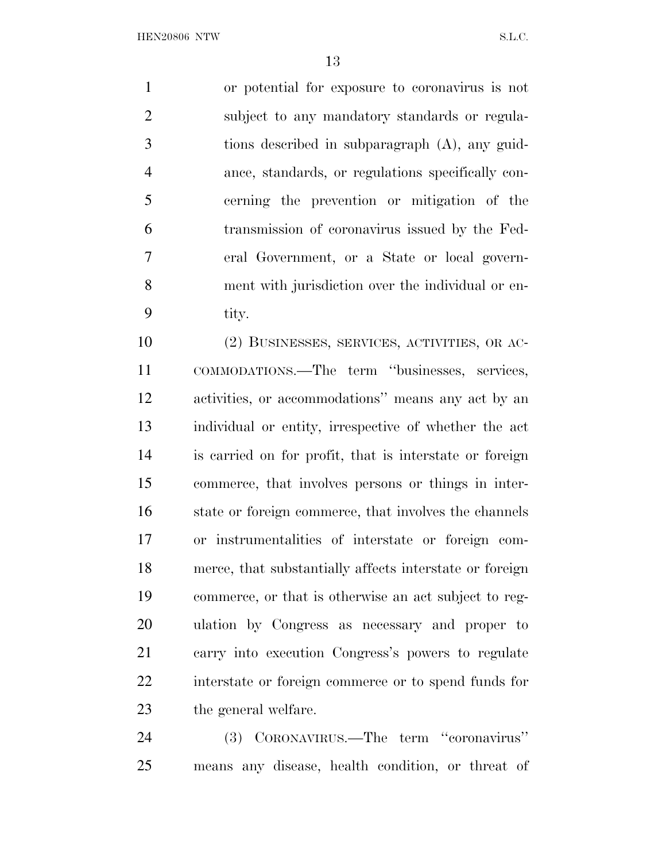or potential for exposure to coronavirus is not subject to any mandatory standards or regula- tions described in subparagraph (A), any guid- ance, standards, or regulations specifically con- cerning the prevention or mitigation of the transmission of coronavirus issued by the Fed- eral Government, or a State or local govern- ment with jurisdiction over the individual or en-tity.

 (2) BUSINESSES, SERVICES, ACTIVITIES, OR AC- COMMODATIONS.—The term ''businesses, services, activities, or accommodations'' means any act by an individual or entity, irrespective of whether the act is carried on for profit, that is interstate or foreign commerce, that involves persons or things in inter- state or foreign commerce, that involves the channels or instrumentalities of interstate or foreign com- merce, that substantially affects interstate or foreign commerce, or that is otherwise an act subject to reg- ulation by Congress as necessary and proper to carry into execution Congress's powers to regulate interstate or foreign commerce or to spend funds for the general welfare.

 (3) CORONAVIRUS.—The term ''coronavirus'' means any disease, health condition, or threat of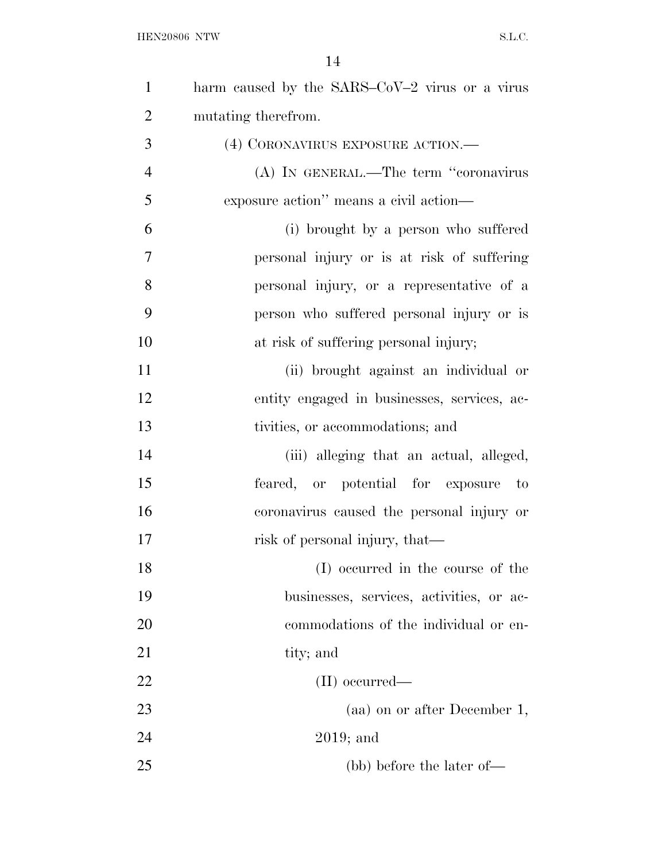| $\mathbf{1}$   | harm caused by the SARS-CoV-2 virus or a virus |
|----------------|------------------------------------------------|
| $\overline{2}$ | mutating therefrom.                            |
| 3              | (4) CORONAVIRUS EXPOSURE ACTION.—              |
| $\overline{4}$ | (A) IN GENERAL.—The term "coronavirus          |
| 5              | exposure action" means a civil action—         |
| 6              | (i) brought by a person who suffered           |
| $\tau$         | personal injury or is at risk of suffering     |
| 8              | personal injury, or a representative of a      |
| 9              | person who suffered personal injury or is      |
| 10             | at risk of suffering personal injury;          |
| 11             | (ii) brought against an individual or          |
| 12             | entity engaged in businesses, services, ac-    |
| 13             | tivities, or accommodations; and               |
| 14             | (iii) alleging that an actual, alleged,        |
| 15             | feared, or potential for exposure<br>$-$ to    |
| 16             | coronavirus caused the personal injury or      |
| 17             | risk of personal injury, that—                 |
| 18             | (I) occurred in the course of the              |
| 19             | businesses, services, activities, or ac-       |
| <b>20</b>      | commodations of the individual or en-          |
| 21             | tity; and                                      |
| 22             | $(II)$ occurred—                               |
| 23             | (aa) on or after December 1,                   |
| 24             | $2019$ ; and                                   |
| 25             | (bb) before the later of—                      |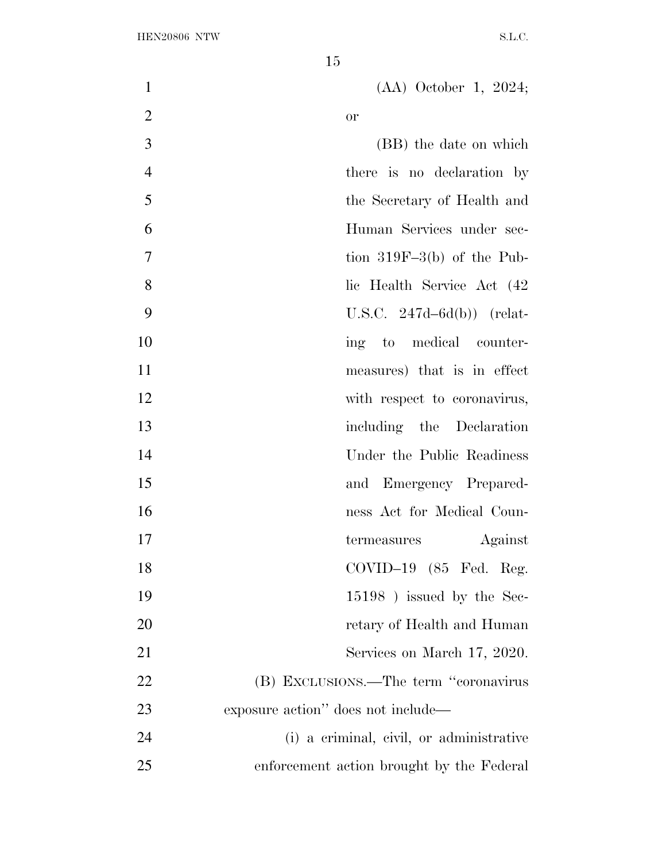| $\mathbf{1}$   | $(AA)$ October 1, 2024;                   |
|----------------|-------------------------------------------|
| $\overline{2}$ | or                                        |
| 3              | (BB) the date on which                    |
| $\overline{4}$ | there is no declaration by                |
| 5              | the Secretary of Health and               |
| 6              | Human Services under sec-                 |
| 7              | tion $319F-3(b)$ of the Pub-              |
| 8              | lic Health Service Act (42)               |
| 9              | U.S.C. $247d-6d(b)$ (relat-               |
| 10             | ing to medical counter-                   |
| 11             | measures) that is in effect               |
| 12             | with respect to coronavirus,              |
| 13             | including the Declaration                 |
| 14             | Under the Public Readiness                |
| 15             | and Emergency Prepared-                   |
| 16             | ness Act for Medical Coun-                |
| 17             | Against<br>termeasures                    |
| 18             | COVID-19 (85 Fed. Reg.                    |
| 19             | $15198$ ) issued by the Sec-              |
| 20             | retary of Health and Human                |
| 21             | Services on March 17, 2020.               |
| 22             | (B) EXCLUSIONS.—The term "coronavirus     |
| 23             | exposure action" does not include—        |
| 24             | (i) a criminal, civil, or administrative  |
| 25             | enforcement action brought by the Federal |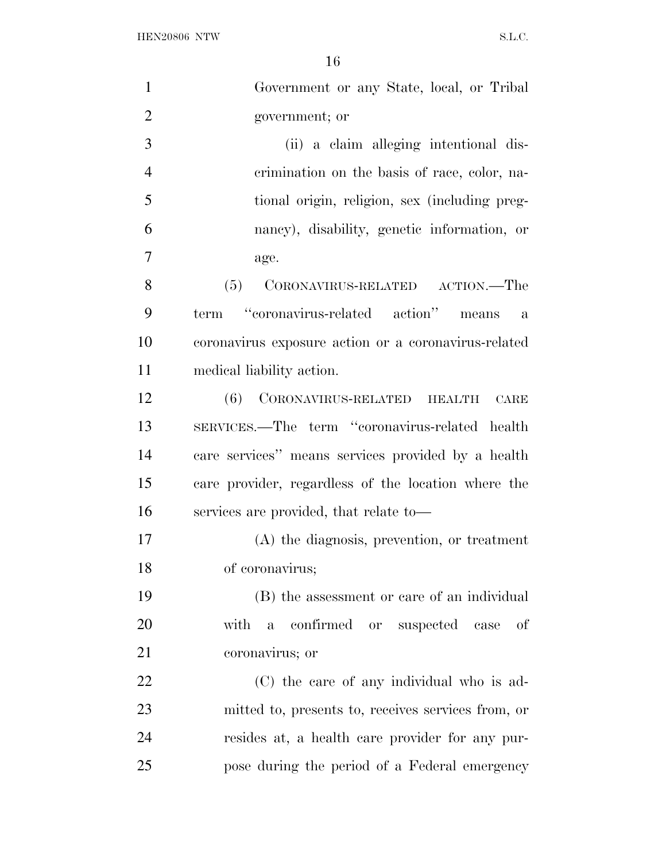$\begin{minipage}{0.9\linewidth} \textbf{HEN20806} & \textbf{NTW} \end{minipage}$ 

| $\mathbf{1}$   | Government or any State, local, or Tribal                |
|----------------|----------------------------------------------------------|
| $\overline{2}$ | government; or                                           |
| 3              | (ii) a claim alleging intentional dis-                   |
| $\overline{4}$ | crimination on the basis of race, color, na-             |
| 5              | tional origin, religion, sex (including preg-            |
| 6              | nancy), disability, genetic information, or              |
| 7              | age.                                                     |
| 8              | CORONAVIRUS-RELATED ACTION.—The<br>(5)                   |
| 9              | term "coronavirus-related action" means<br>$\mathbf{a}$  |
| 10             | coronavirus exposure action or a coronavirus-related     |
| 11             | medical liability action.                                |
| 12             | (6) CORONAVIRUS-RELATED HEALTH<br>CARE                   |
| 13             | SERVICES.—The term "coronavirus-related health           |
| 14             | care services" means services provided by a health       |
| 15             | care provider, regardless of the location where the      |
| 16             | services are provided, that relate to—                   |
| 17             | (A) the diagnosis, prevention, or treatment              |
| 18             | of coronavirus;                                          |
| 19             | (B) the assessment or care of an individual              |
| 20             | with<br>confirmed or suspected case<br>of<br>$\mathbf a$ |
| 21             | coronavirus; or                                          |
| 22             | (C) the care of any individual who is ad-                |
| 23             | mitted to, presents to, receives services from, or       |
| 24             | resides at, a health care provider for any pur-          |
| 25             | pose during the period of a Federal emergency            |
|                |                                                          |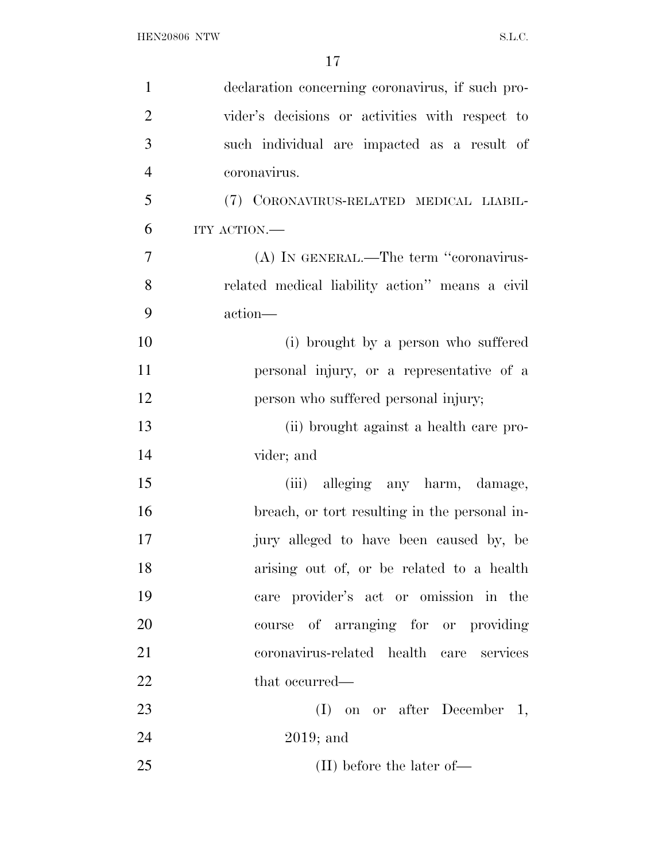| $\mathbf{1}$   | declaration concerning coronavirus, if such pro- |
|----------------|--------------------------------------------------|
| $\overline{2}$ | vider's decisions or activities with respect to  |
| 3              | such individual are impacted as a result of      |
| $\overline{4}$ | coronavirus.                                     |
| 5              | (7) CORONAVIRUS-RELATED MEDICAL LIABIL-          |
| 6              | ITY ACTION.-                                     |
| $\tau$         | (A) IN GENERAL.—The term "coronavirus-           |
| 8              | related medical liability action" means a civil  |
| 9              | action-                                          |
| 10             | (i) brought by a person who suffered             |
| 11             | personal injury, or a representative of a        |
| 12             | person who suffered personal injury;             |
| 13             | (ii) brought against a health care pro-          |
| 14             | vider; and                                       |
| 15             | (iii) alleging any harm, damage,                 |
| 16             | breach, or tort resulting in the personal in-    |
| 17             | jury alleged to have been caused by, be          |
| 18             | arising out of, or be related to a health        |
| 19             | care provider's act or omission in the           |
| 20             | course of arranging for or providing             |
| 21             | coronavirus-related health care services         |
| 22             | that occurred—                                   |
| 23             | $(I)$ on or after December 1,                    |
| 24             | $2019$ ; and                                     |
| 25             | $(II)$ before the later of—                      |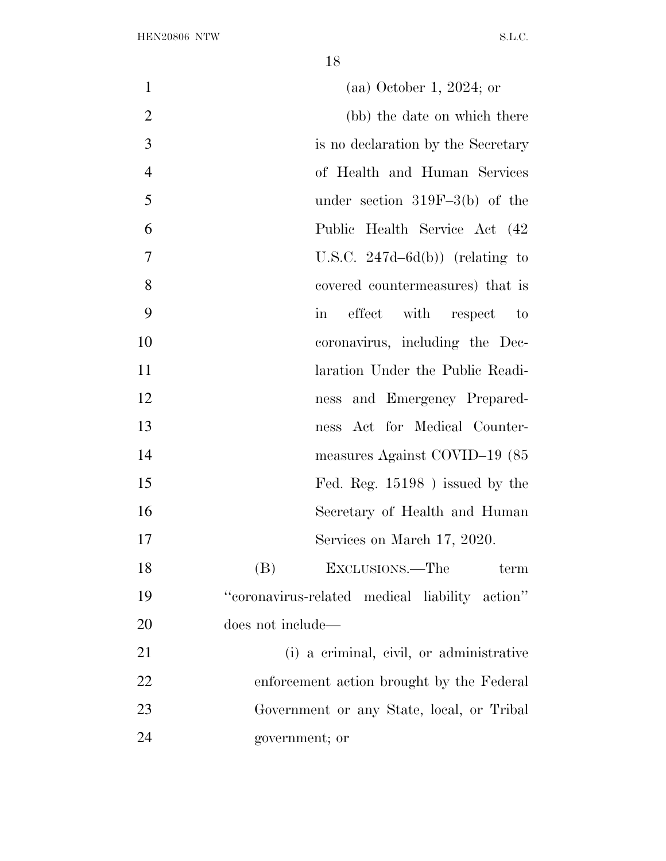| $\mathbf{1}$   | $(aa)$ October 1, 2024; or                     |
|----------------|------------------------------------------------|
| $\overline{2}$ | (bb) the date on which there                   |
| 3              | is no declaration by the Secretary             |
| $\overline{4}$ | of Health and Human Services                   |
| 5              | under section $319F-3(b)$ of the               |
| 6              | Public Health Service Act (42)                 |
| 7              | U.S.C. $247d - 6d(b)$ (relating to             |
| 8              | covered countermeasures) that is               |
| 9              | effect with respect<br>in<br>$\mathbf{t}$      |
| 10             | coronavirus, including the Dec-                |
| 11             | laration Under the Public Readi-               |
| 12             | ness and Emergency Prepared-                   |
| 13             | ness Act for Medical Counter-                  |
| 14             | measures Against COVID-19 (85                  |
| 15             | Fed. Reg. $15198$ ) issued by the              |
| 16             | Secretary of Health and Human                  |
| 17             | Services on March 17, 2020.                    |
| 18             | (B)<br>EXCLUSIONS.—The<br>term                 |
| 19             | "coronavirus-related medical liability action" |
| 20             | does not include—                              |
| 21             | (i) a criminal, civil, or administrative       |
| 22             | enforcement action brought by the Federal      |
| 23             | Government or any State, local, or Tribal      |
| 24             | government; or                                 |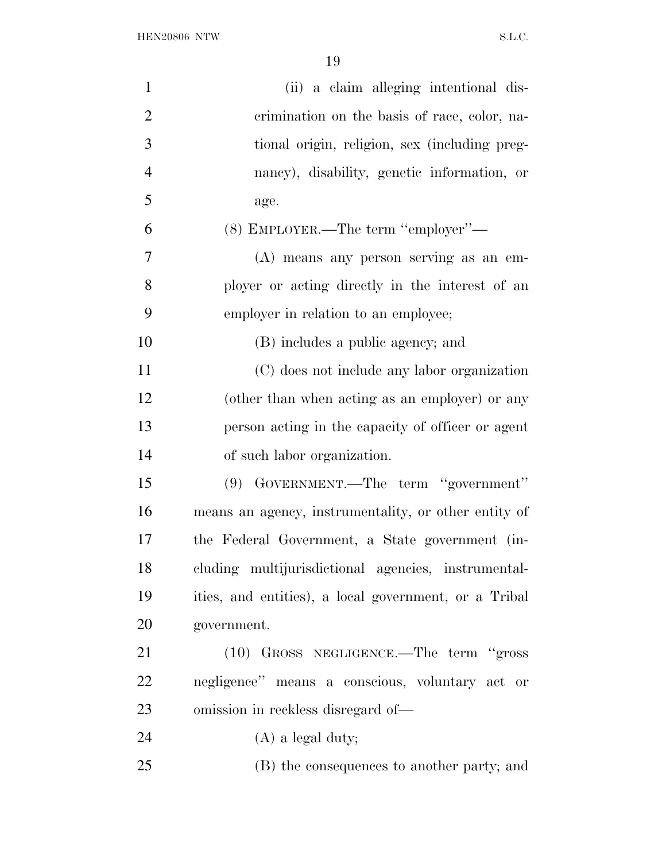| $\mathbf{1}$   | (ii) a claim alleging intentional dis-                |
|----------------|-------------------------------------------------------|
| $\overline{2}$ | crimination on the basis of race, color, na-          |
| 3              | tional origin, religion, sex (including preg-         |
| $\overline{4}$ | nancy), disability, genetic information, or           |
| 5              | age.                                                  |
| 6              | (8) EMPLOYER.—The term "employer"—                    |
| $\tau$         | (A) means any person serving as an em-                |
| 8              | ployer or acting directly in the interest of an       |
| 9              | employer in relation to an employee;                  |
| 10             | (B) includes a public agency; and                     |
| 11             | (C) does not include any labor organization           |
| 12             | (other than when acting as an employer) or any        |
| 13             | person acting in the capacity of officer or agent     |
| 14             | of such labor organization.                           |
| 15             | (9) GOVERNMENT.—The term "government"                 |
| 16             | means an agency, instrumentality, or other entity of  |
| 17             | the Federal Government, a State government (in-       |
| 18             | cluding multijurisdictional agencies, instrumental-   |
| 19             | ities, and entities), a local government, or a Tribal |
| 20             | government.                                           |
| 21             | (10) GROSS NEGLIGENCE.—The term "gross                |
| 22             | negligence" means a conscious, voluntary act or       |
| 23             | omission in reckless disregard of—                    |
| 24             | $(A)$ a legal duty;                                   |
| 25             | (B) the consequences to another party; and            |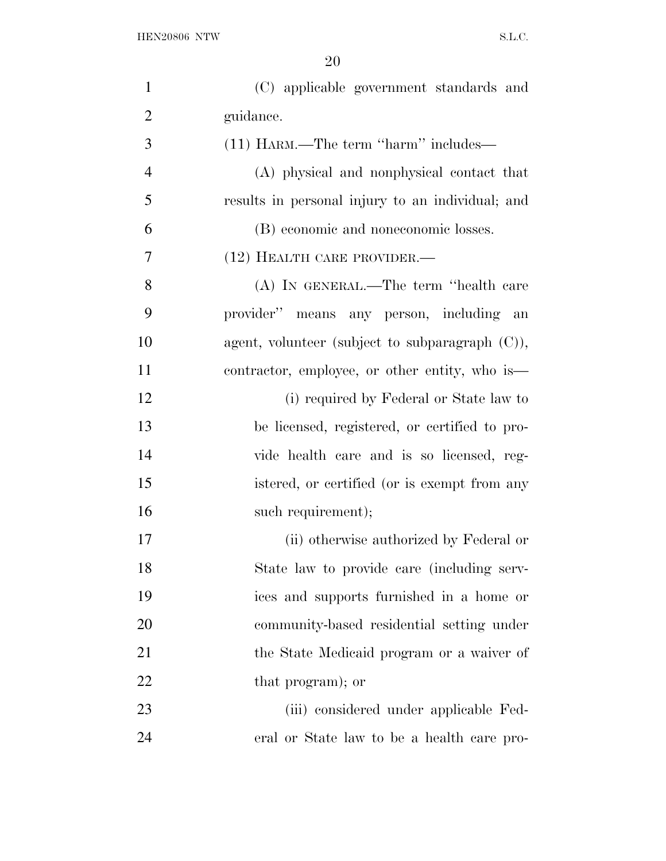| $\mathbf{1}$   | (C) applicable government standards and            |
|----------------|----------------------------------------------------|
| $\overline{2}$ | guidance.                                          |
| 3              | (11) HARM.—The term "harm" includes—               |
| $\overline{4}$ | (A) physical and nonphysical contact that          |
| 5              | results in personal injury to an individual; and   |
| 6              | (B) economic and noneconomic losses.               |
| 7              | (12) HEALTH CARE PROVIDER.—                        |
| 8              | (A) IN GENERAL.—The term "health care              |
| 9              | provider" means any person, including an           |
| 10             | agent, volunteer (subject to subparagraph $(C)$ ), |
| 11             | contractor, employee, or other entity, who is—     |
| 12             | (i) required by Federal or State law to            |
| 13             | be licensed, registered, or certified to pro-      |
| 14             | vide health care and is so licensed, reg-          |
| 15             | istered, or certified (or is exempt from any       |
| 16             | such requirement);                                 |
| 17             | (ii) otherwise authorized by Federal or            |
| 18             | State law to provide care (including serv-         |
| 19             | ices and supports furnished in a home or           |
| 20             | community-based residential setting under          |
| 21             | the State Medicaid program or a waiver of          |
| 22             | that program); or                                  |
| 23             | (iii) considered under applicable Fed-             |
| 24             | eral or State law to be a health care pro-         |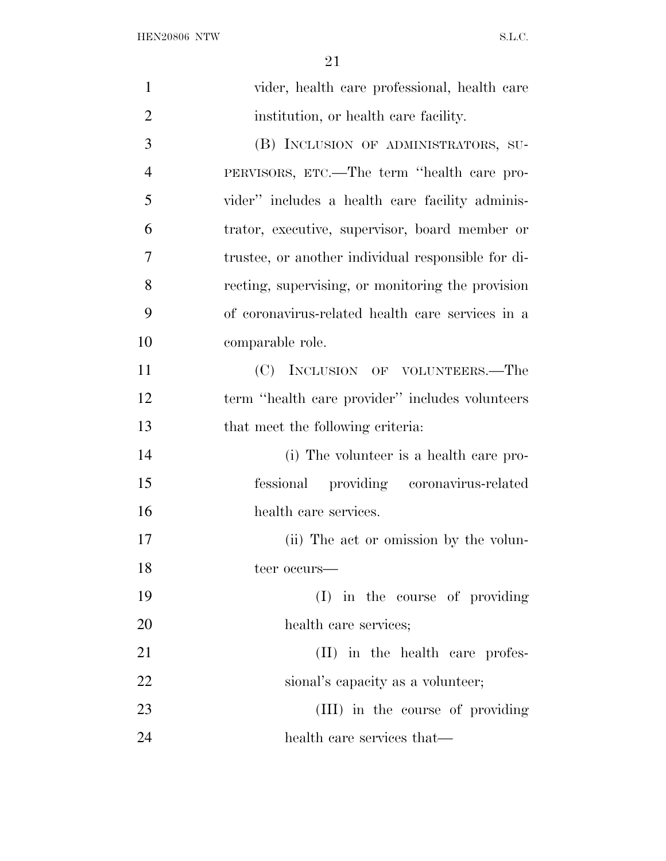| $\mathbf{1}$   | vider, health care professional, health care       |
|----------------|----------------------------------------------------|
| $\overline{2}$ | institution, or health care facility.              |
| 3              | (B) INCLUSION OF ADMINISTRATORS, SU-               |
| $\overline{4}$ | PERVISORS, ETC.—The term "health care pro-         |
| 5              | vider" includes a health care facility adminis-    |
| 6              | trator, executive, supervisor, board member or     |
| 7              | trustee, or another individual responsible for di- |
| 8              | recting, supervising, or monitoring the provision  |
| 9              | of coronavirus-related health care services in a   |
| 10             | comparable role.                                   |
| 11             | (C) INCLUSION OF VOLUNTEERS.—The                   |
| 12             | term "health care provider" includes volunteers    |
| 13             | that meet the following criteria:                  |
| 14             | (i) The volunteer is a health care pro-            |
| 15             | fessional providing coronavirus-related            |
| 16             | health care services.                              |
| 17             | (ii) The act or omission by the volun-             |
| 18             | teer occurs—                                       |
| 19             | (I) in the course of providing                     |
| 20             | health care services;                              |
| 21             | (II) in the health care profes-                    |
| 22             | sional's capacity as a volunteer;                  |
| 23             | (III) in the course of providing                   |
| 24             | health care services that—                         |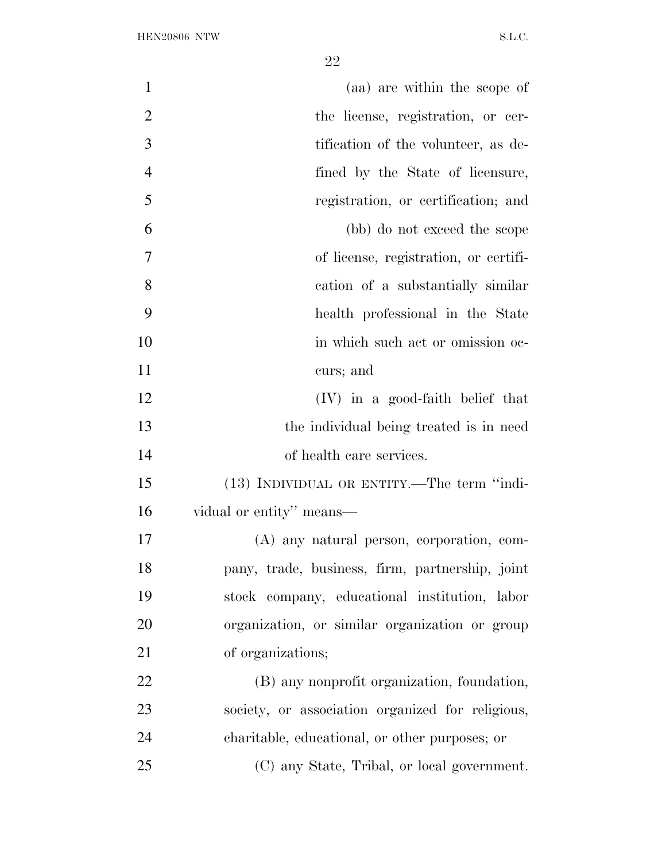| $\mathbf{1}$   | (aa) are within the scope of                     |
|----------------|--------------------------------------------------|
| $\overline{2}$ | the license, registration, or cer-               |
| 3              | tification of the volunteer, as de-              |
| $\overline{4}$ | fined by the State of licensure,                 |
| 5              | registration, or certification; and              |
| 6              | (bb) do not exceed the scope                     |
| $\overline{7}$ | of license, registration, or certifi-            |
| 8              | cation of a substantially similar                |
| 9              | health professional in the State                 |
| 10             | in which such act or omission oc-                |
| 11             | curs; and                                        |
| 12             | $(IV)$ in a good-faith belief that               |
| 13             | the individual being treated is in need          |
| 14             | of health care services.                         |
| 15             | (13) INDIVIDUAL OR ENTITY.—The term "indi-       |
| 16             | vidual or entity" means—                         |
| 17             | (A) any natural person, corporation, com-        |
| 18             | pany, trade, business, firm, partnership, joint  |
| 19             | stock company, educational institution, labor    |
| 20             | organization, or similar organization or group   |
| 21             | of organizations;                                |
| 22             | (B) any nonprofit organization, foundation,      |
| 23             | society, or association organized for religious, |
| 24             | charitable, educational, or other purposes; or   |
| 25             | (C) any State, Tribal, or local government.      |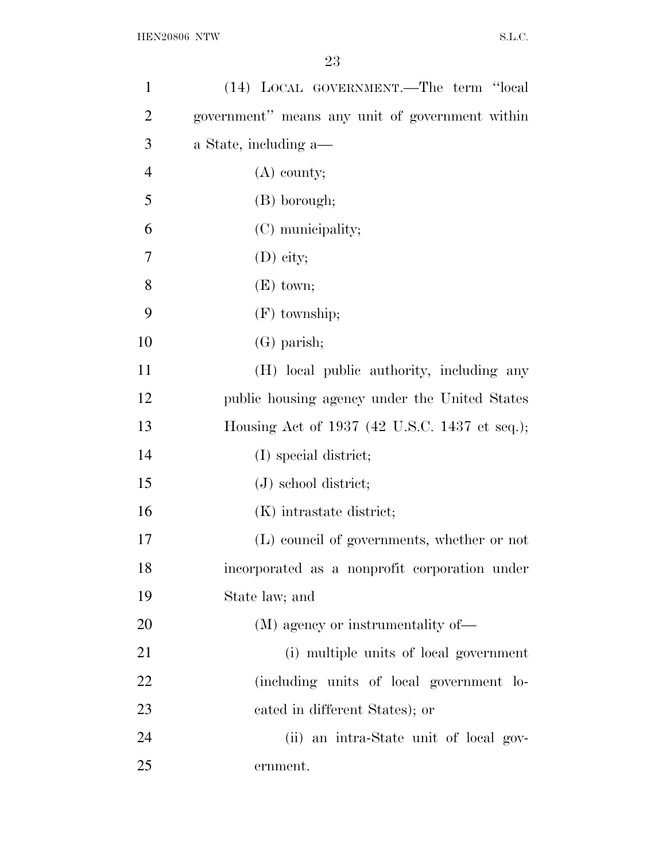| $\mathbf{1}$   | (14) LOCAL GOVERNMENT.—The term "local          |
|----------------|-------------------------------------------------|
| $\overline{2}$ | government" means any unit of government within |
| 3              | a State, including a—                           |
| $\overline{4}$ | $(A)$ county;                                   |
| 5              | (B) borough;                                    |
| 6              | (C) municipality;                               |
| 7              | $(D)$ city;                                     |
| 8              | $(E)$ town;                                     |
| 9              | $(F)$ township;                                 |
| 10             | $(G)$ parish;                                   |
| 11             | (H) local public authority, including any       |
| 12             | public housing agency under the United States   |
| 13             | Housing Act of 1937 (42 U.S.C. 1437 et seq.);   |
| 14             | (I) special district;                           |
| 15             | $(J)$ school district;                          |
| 16             | (K) intrastate district;                        |
| 17             | (L) council of governments, whether or not      |
| 18             | incorporated as a nonprofit corporation under   |
| 19             | State law; and                                  |
| 20             | (M) agency or instrumentality of—               |
| 21             | (i) multiple units of local government          |
| 22             | (including units of local government lo-        |
| 23             | cated in different States); or                  |
| 24             | (ii) an intra-State unit of local gov-          |
| 25             | ernment.                                        |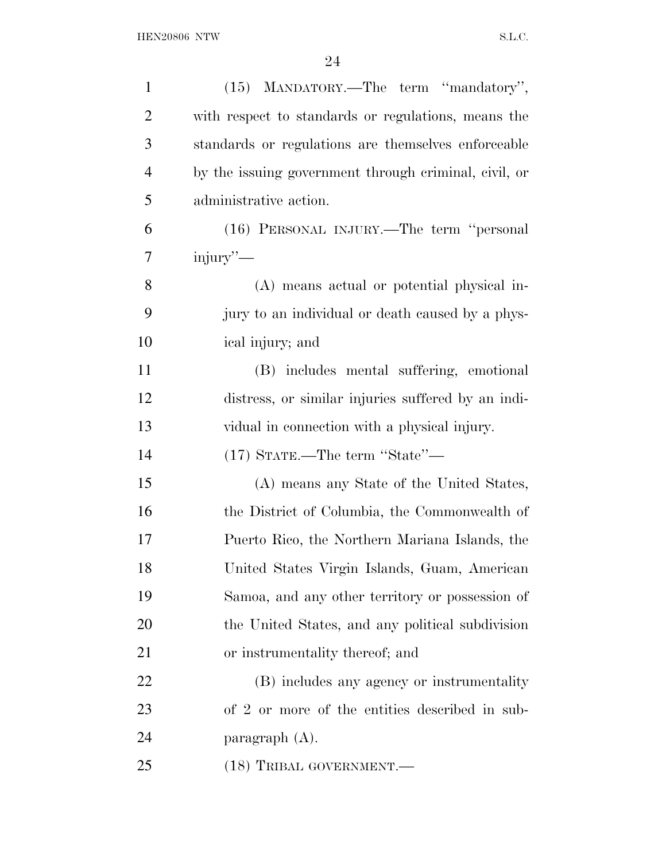| $\mathbf{1}$   | (15) MANDATORY.—The term "mandatory",                 |
|----------------|-------------------------------------------------------|
| $\overline{2}$ | with respect to standards or regulations, means the   |
| 3              | standards or regulations are themselves enforceable   |
| $\overline{4}$ | by the issuing government through criminal, civil, or |
| 5              | administrative action.                                |
| 6              | (16) PERSONAL INJURY.—The term "personal              |
| 7              | injury"—                                              |
| 8              | (A) means actual or potential physical in-            |
| 9              | jury to an individual or death caused by a phys-      |
| 10             | ical injury; and                                      |
| 11             | (B) includes mental suffering, emotional              |
| 12             | distress, or similar injuries suffered by an indi-    |
| 13             | vidual in connection with a physical injury.          |
| 14             | $(17)$ STATE.—The term "State"—                       |
| 15             | (A) means any State of the United States,             |
| 16             | the District of Columbia, the Commonwealth of         |
| 17             | Puerto Rico, the Northern Mariana Islands, the        |
| 18             | United States Virgin Islands, Guam, American          |
| 19             | Samoa, and any other territory or possession of       |
| 20             | the United States, and any political subdivision      |
| 21             | or instrumentality thereof; and                       |
| 22             | (B) includes any agency or instrumentality            |
| 23             | of 2 or more of the entities described in sub-        |
| 24             | paragraph $(A)$ .                                     |
| 25             | (18) TRIBAL GOVERNMENT.                               |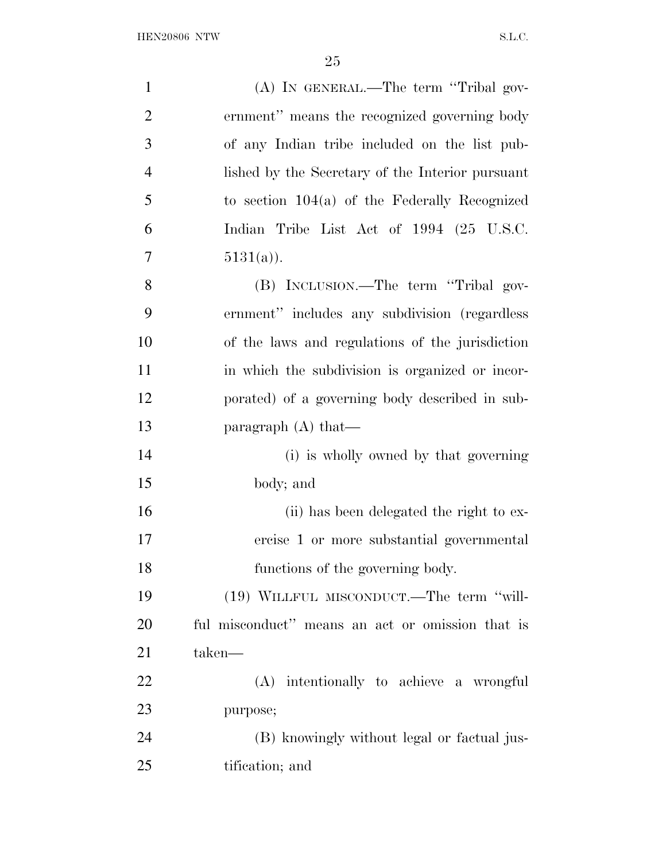| $\mathbf{1}$   | (A) IN GENERAL.—The term "Tribal gov-            |
|----------------|--------------------------------------------------|
| $\overline{2}$ | ernment" means the recognized governing body     |
| 3              | of any Indian tribe included on the list pub-    |
| $\overline{4}$ | lished by the Secretary of the Interior pursuant |
| 5              | to section $104(a)$ of the Federally Recognized  |
| 6              | Indian Tribe List Act of 1994 (25 U.S.C.         |
| 7              | $5131(a)$ ).                                     |
| 8              | (B) INCLUSION.—The term "Tribal gov-             |
| 9              | ernment" includes any subdivision (regardless    |
| 10             | of the laws and regulations of the jurisdiction  |
| 11             | in which the subdivision is organized or incor-  |
| 12             | porated) of a governing body described in sub-   |
| 13             | paragraph $(A)$ that—                            |
| 14             | (i) is wholly owned by that governing            |
| 15             | body; and                                        |
| 16             | (ii) has been delegated the right to ex-         |
| 17             | ercise 1 or more substantial governmental        |
| 18             | functions of the governing body.                 |
| 19             | (19) WILLFUL MISCONDUCT.—The term "will-         |
| 20             | ful misconduct" means an act or omission that is |
| 21             | taken—                                           |
| 22             | (A) intentionally to achieve a wrongful          |
| 23             | purpose;                                         |
| 24             | (B) knowingly without legal or factual jus-      |
| 25             | tification; and                                  |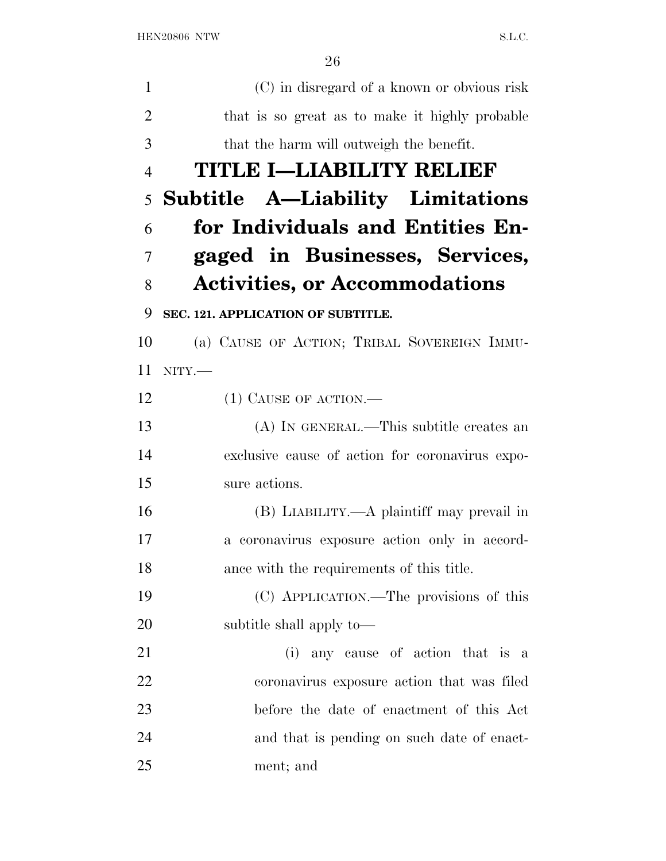(C) in disregard of a known or obvious risk that is so great as to make it highly probable that the harm will outweigh the benefit. **TITLE I—LIABILITY RELIEF Subtitle A—Liability Limitations for Individuals and Entities En- gaged in Businesses, Services, Activities, or Accommodations SEC. 121. APPLICATION OF SUBTITLE.**  (a) CAUSE OF ACTION; TRIBAL SOVEREIGN IMMU- NITY.— 12 (1) CAUSE OF ACTION.— (A) IN GENERAL.—This subtitle creates an exclusive cause of action for coronavirus expo- sure actions. (B) LIABILITY.—A plaintiff may prevail in a coronavirus exposure action only in accord- ance with the requirements of this title. (C) APPLICATION.—The provisions of this subtitle shall apply to— (i) any cause of action that is a coronavirus exposure action that was filed before the date of enactment of this Act and that is pending on such date of enact-ment; and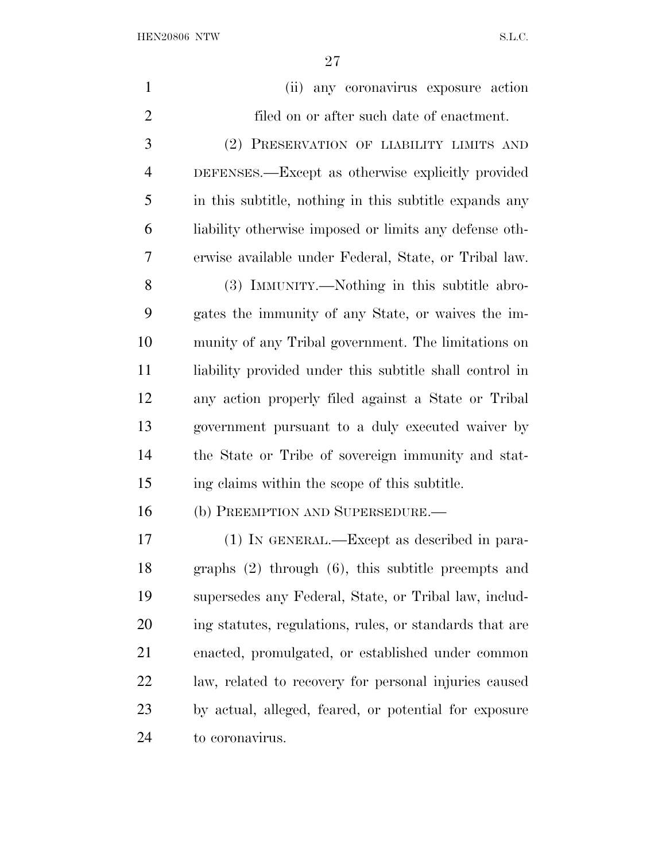| $\mathbf{1}$   | any coronavirus exposure action<br>(ii)                 |
|----------------|---------------------------------------------------------|
| $\overline{2}$ | filed on or after such date of enactment.               |
| 3              | (2) PRESERVATION OF LIABILITY LIMITS AND                |
| $\overline{4}$ | DEFENSES.—Except as otherwise explicitly provided       |
| 5              | in this subtitle, nothing in this subtitle expands any  |
| 6              | liability otherwise imposed or limits any defense oth-  |
| 7              | erwise available under Federal, State, or Tribal law.   |
| 8              | (3) IMMUNITY.—Nothing in this subtitle abro-            |
| 9              | gates the immunity of any State, or waives the im-      |
| 10             | munity of any Tribal government. The limitations on     |
| 11             | liability provided under this subtitle shall control in |
| 12             | any action properly filed against a State or Tribal     |
| 13             | government pursuant to a duly executed waiver by        |
| 14             | the State or Tribe of sovereign immunity and stat-      |
| 15             | ing claims within the scope of this subtitle.           |
| 16             | (b) PREEMPTION AND SUPERSEDURE.                         |
| 17             | (1) IN GENERAL.—Except as described in para-            |
| 18             | graphs $(2)$ through $(6)$ , this subtitle preempts and |
| 19             | supersedes any Federal, State, or Tribal law, includ-   |
| 20             | ing statutes, regulations, rules, or standards that are |
| 21             | enacted, promulgated, or established under common       |
| 22             | law, related to recovery for personal injuries caused   |
| 23             | by actual, alleged, feared, or potential for exposure   |
| 24             | to coronavirus.                                         |
|                |                                                         |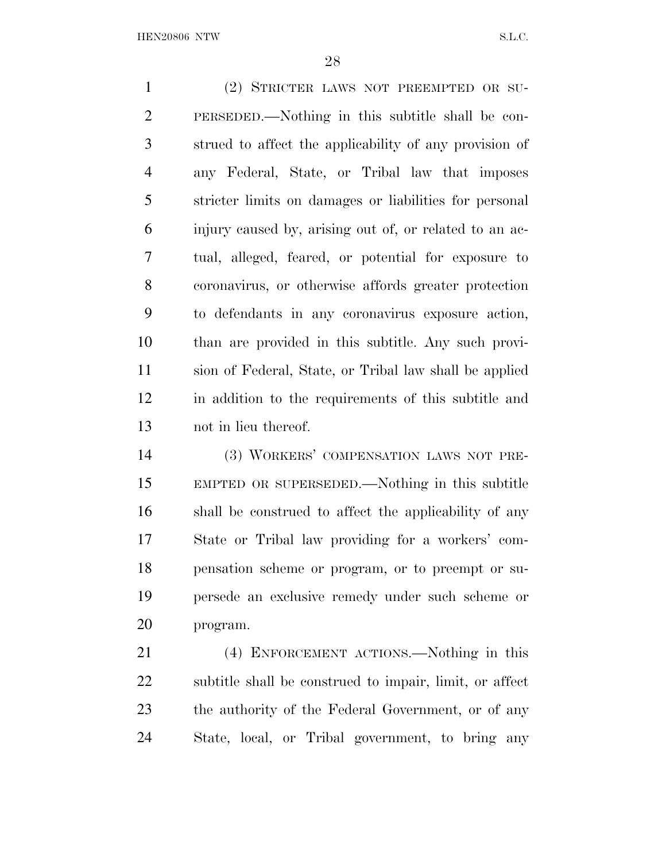(2) STRICTER LAWS NOT PREEMPTED OR SU- PERSEDED.—Nothing in this subtitle shall be con- strued to affect the applicability of any provision of any Federal, State, or Tribal law that imposes stricter limits on damages or liabilities for personal injury caused by, arising out of, or related to an ac- tual, alleged, feared, or potential for exposure to coronavirus, or otherwise affords greater protection to defendants in any coronavirus exposure action, than are provided in this subtitle. Any such provi- sion of Federal, State, or Tribal law shall be applied in addition to the requirements of this subtitle and not in lieu thereof.

 (3) WORKERS' COMPENSATION LAWS NOT PRE- EMPTED OR SUPERSEDED.—Nothing in this subtitle shall be construed to affect the applicability of any State or Tribal law providing for a workers' com- pensation scheme or program, or to preempt or su- persede an exclusive remedy under such scheme or program.

 (4) ENFORCEMENT ACTIONS.—Nothing in this subtitle shall be construed to impair, limit, or affect the authority of the Federal Government, or of any State, local, or Tribal government, to bring any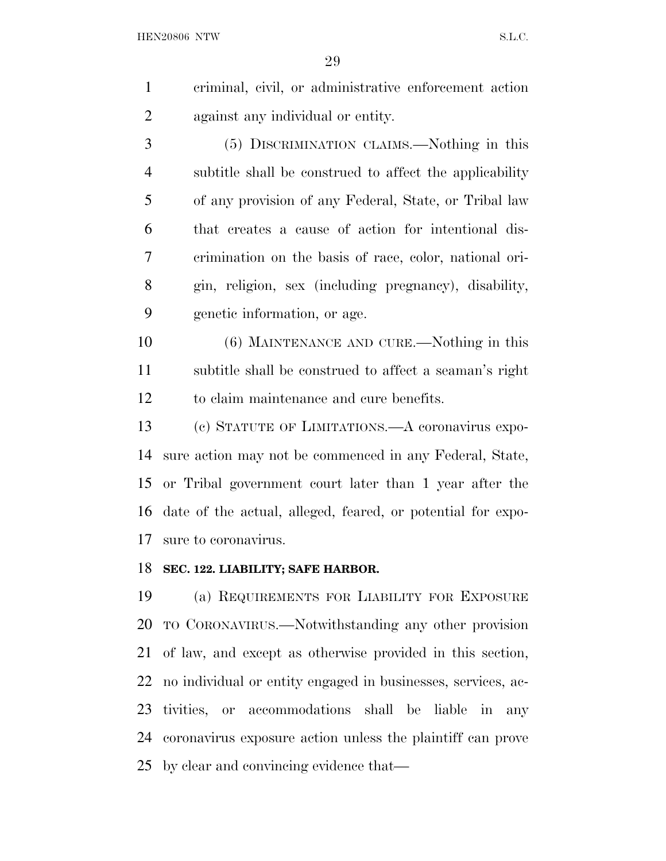criminal, civil, or administrative enforcement action against any individual or entity.

 (5) DISCRIMINATION CLAIMS.—Nothing in this subtitle shall be construed to affect the applicability of any provision of any Federal, State, or Tribal law that creates a cause of action for intentional dis- crimination on the basis of race, color, national ori- gin, religion, sex (including pregnancy), disability, genetic information, or age.

 (6) MAINTENANCE AND CURE.—Nothing in this subtitle shall be construed to affect a seaman's right to claim maintenance and cure benefits.

 (c) STATUTE OF LIMITATIONS.—A coronavirus expo- sure action may not be commenced in any Federal, State, or Tribal government court later than 1 year after the date of the actual, alleged, feared, or potential for expo-sure to coronavirus.

### **SEC. 122. LIABILITY; SAFE HARBOR.**

 (a) REQUIREMENTS FOR LIABILITY FOR EXPOSURE TO CORONAVIRUS.—Notwithstanding any other provision of law, and except as otherwise provided in this section, no individual or entity engaged in businesses, services, ac- tivities, or accommodations shall be liable in any coronavirus exposure action unless the plaintiff can prove by clear and convincing evidence that—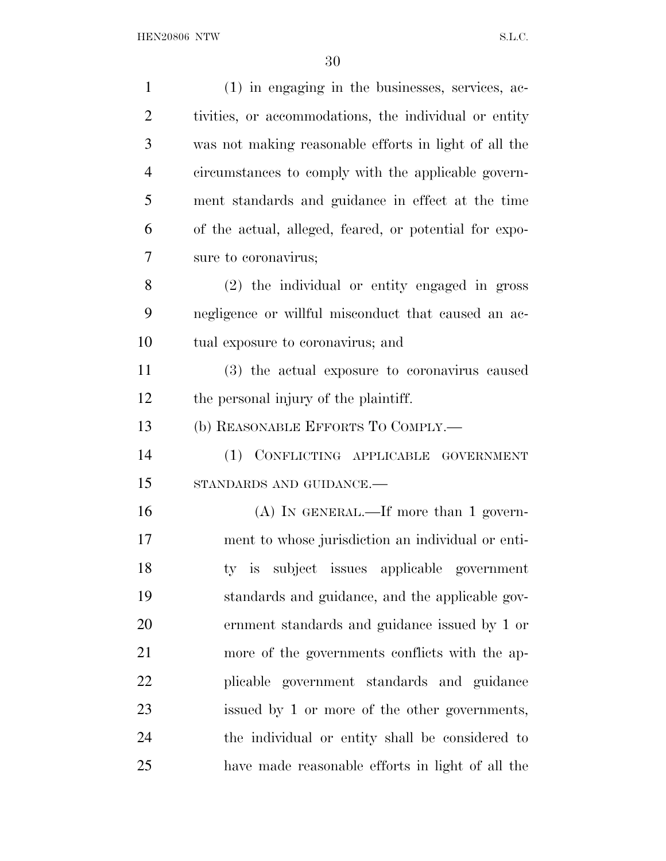| $\mathbf{1}$   | (1) in engaging in the businesses, services, ac-       |
|----------------|--------------------------------------------------------|
| $\overline{2}$ | tivities, or accommodations, the individual or entity  |
| 3              | was not making reasonable efforts in light of all the  |
| $\overline{4}$ | circumstances to comply with the applicable govern-    |
| 5              | ment standards and guidance in effect at the time      |
| 6              | of the actual, alleged, feared, or potential for expo- |
| 7              | sure to coronavirus;                                   |
| 8              | (2) the individual or entity engaged in gross          |
| 9              | negligence or willful misconduct that caused an ac-    |
| 10             | tual exposure to coronavirus; and                      |
| 11             | (3) the actual exposure to coronavirus caused          |
| 12             | the personal injury of the plaintiff.                  |
| 13             | (b) REASONABLE EFFORTS TO COMPLY.—                     |
| 14             | (1) CONFLICTING APPLICABLE GOVERNMENT                  |
| 15             | STANDARDS AND GUIDANCE.-                               |
| 16             | $(A)$ In GENERAL.—If more than 1 govern-               |
| 17             | ment to whose jurisdiction an individual or enti-      |
| 18             | subject issues applicable government<br>$ty$ is        |
| 19             | standards and guidance, and the applicable gov-        |
| 20             | ernment standards and guidance issued by 1 or          |
| 21             | more of the governments conflicts with the ap-         |
| 22             | plicable government standards and guidance             |
| 23             | issued by 1 or more of the other governments,          |
| 24             | the individual or entity shall be considered to        |
| 25             | have made reasonable efforts in light of all the       |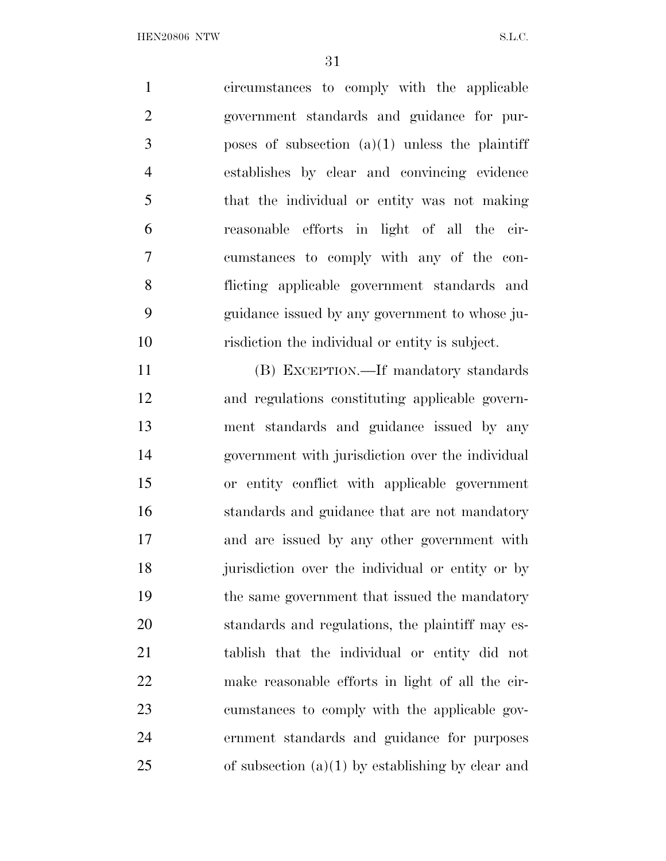circumstances to comply with the applicable government standards and guidance for pur- poses of subsection (a)(1) unless the plaintiff establishes by clear and convincing evidence that the individual or entity was not making reasonable efforts in light of all the cir- cumstances to comply with any of the con- flicting applicable government standards and guidance issued by any government to whose ju-risdiction the individual or entity is subject.

 (B) EXCEPTION.—If mandatory standards and regulations constituting applicable govern- ment standards and guidance issued by any government with jurisdiction over the individual or entity conflict with applicable government standards and guidance that are not mandatory and are issued by any other government with jurisdiction over the individual or entity or by the same government that issued the mandatory standards and regulations, the plaintiff may es- tablish that the individual or entity did not make reasonable efforts in light of all the cir- cumstances to comply with the applicable gov- ernment standards and guidance for purposes 25 of subsection  $(a)(1)$  by establishing by clear and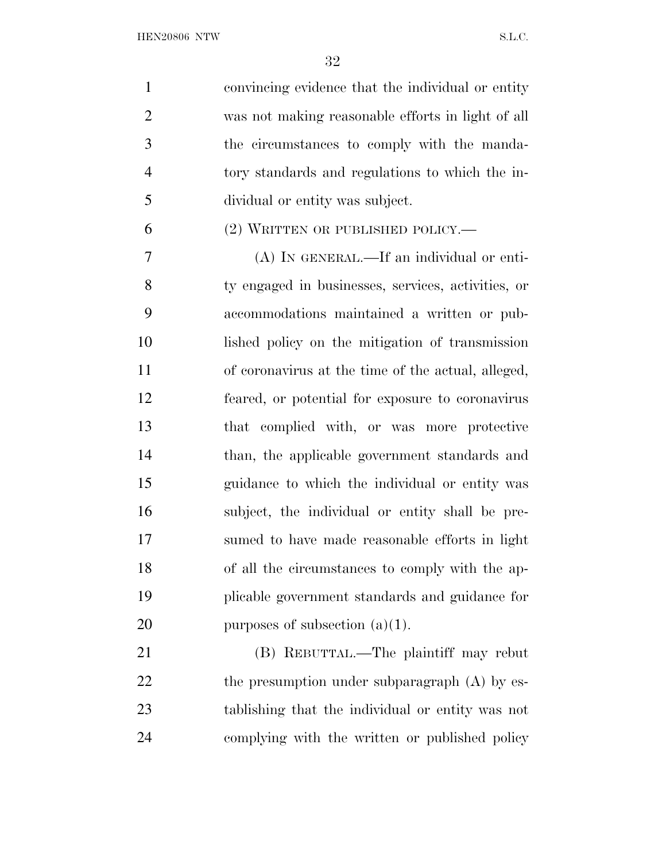| $\mathbf{1}$   | convincing evidence that the individual or entity  |
|----------------|----------------------------------------------------|
| $\overline{2}$ | was not making reasonable efforts in light of all  |
| 3              | the circumstances to comply with the manda-        |
| $\overline{4}$ | tory standards and regulations to which the in-    |
| 5              | dividual or entity was subject.                    |
| 6              | $(2)$ WRITTEN OR PUBLISHED POLICY.—                |
| 7              | (A) IN GENERAL.—If an individual or enti-          |
| 8              | ty engaged in businesses, services, activities, or |
| 9              | accommodations maintained a written or pub-        |
| 10             | lished policy on the mitigation of transmission    |
| 11             | of coronavirus at the time of the actual, alleged, |
| 12             | feared, or potential for exposure to coronavirus   |
| 13             | that complied with, or was more protective         |
| 14             | than, the applicable government standards and      |
| 15             | guidance to which the individual or entity was     |
| 16             | subject, the individual or entity shall be pre-    |
| 17             | sumed to have made reasonable efforts in light     |
| 18             | of all the circumstances to comply with the ap-    |
| 19             | plicable government standards and guidance for     |
| 20             | purposes of subsection $(a)(1)$ .                  |
| 21             | (B) REBUTTAL.—The plaintiff may rebut              |
| 22             | the presumption under subparagraph (A) by es-      |
| 23             | tablishing that the individual or entity was not   |
| 24             | complying with the written or published policy     |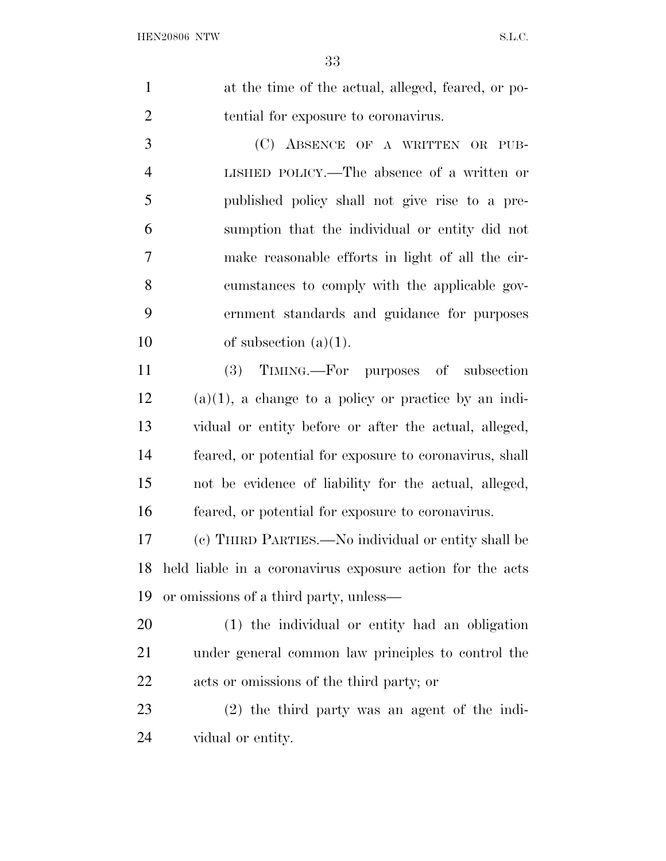| $\mathbf{1}$   | at the time of the actual, alleged, feared, or po- |
|----------------|----------------------------------------------------|
| 2              | tential for exposure to coronavirus.               |
| 3              | (C) ABSENCE OF A WRITTEN OR PUB-                   |
| $\overline{4}$ | LISHED POLICY.—The absence of a written or         |
| 5              | published policy shall not give rise to a pre-     |
| 6              | sumption that the individual or entity did not     |
| 7              | make reasonable efforts in light of all the cir-   |
| 8              | cumstances to comply with the applicable gov-      |
| 9              | ernment standards and guidance for purposes        |

10 of subsection  $(a)(1)$ .

 (3) TIMING.—For purposes of subsection (a)(1), a change to a policy or practice by an indi- vidual or entity before or after the actual, alleged, feared, or potential for exposure to coronavirus, shall not be evidence of liability for the actual, alleged, feared, or potential for exposure to coronavirus.

 (c) THIRD PARTIES.—No individual or entity shall be held liable in a coronavirus exposure action for the acts or omissions of a third party, unless—

 (1) the individual or entity had an obligation under general common law principles to control the acts or omissions of the third party; or

 (2) the third party was an agent of the indi-vidual or entity.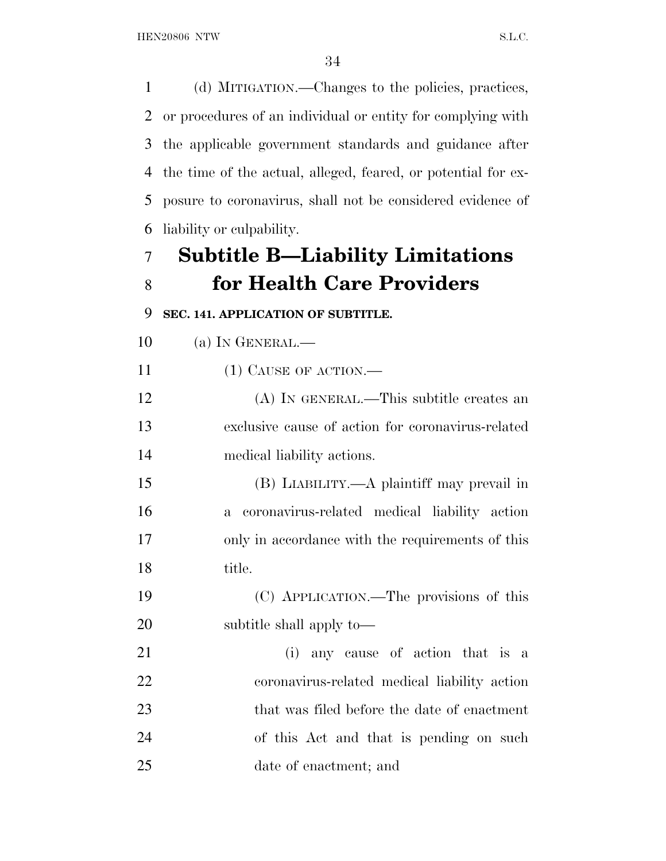(d) MITIGATION.—Changes to the policies, practices, or procedures of an individual or entity for complying with the applicable government standards and guidance after the time of the actual, alleged, feared, or potential for ex- posure to coronavirus, shall not be considered evidence of liability or culpability.

# **Subtitle B—Liability Limitations for Health Care Providers**

**SEC. 141. APPLICATION OF SUBTITLE.** 

(a) IN GENERAL.—

11 (1) CAUSE OF ACTION.—

 (A) IN GENERAL.—This subtitle creates an exclusive cause of action for coronavirus-related medical liability actions.

 (B) LIABILITY.—A plaintiff may prevail in a coronavirus-related medical liability action only in accordance with the requirements of this title.

 (C) APPLICATION.—The provisions of this subtitle shall apply to—

 (i) any cause of action that is a coronavirus-related medical liability action that was filed before the date of enactment of this Act and that is pending on such date of enactment; and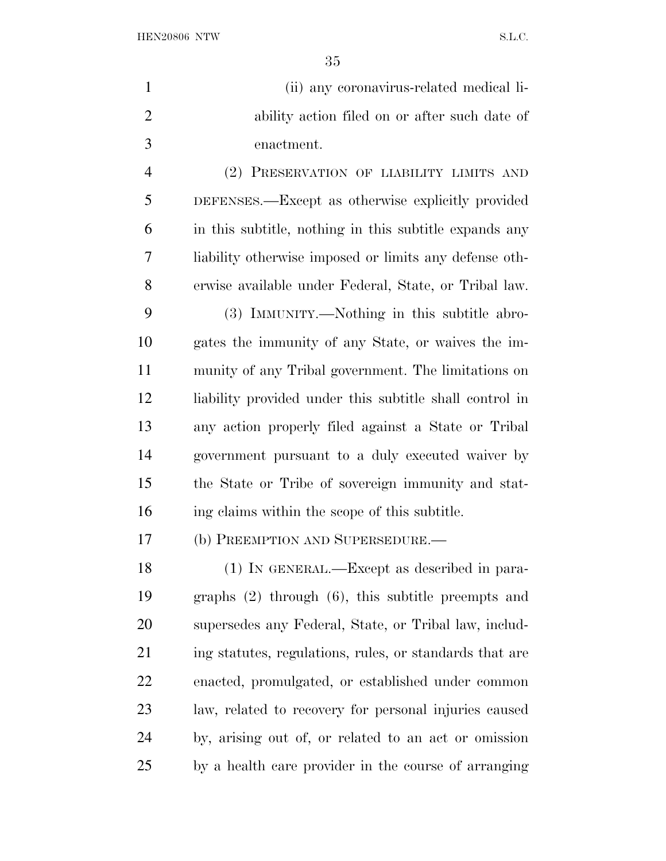${\bf HEN20806} \begin{tabular}{l} NTW \\ \hline \end{tabular} \begin{tabular}{l} \multicolumn{2}{l}{{\bf{N.5}}}\label{fig:10} \end{tabular}$ 

| $\mathbf{1}$   | (ii) any coronavirus-related medical li-                |
|----------------|---------------------------------------------------------|
| $\overline{2}$ | ability action filed on or after such date of           |
| 3              | enactment.                                              |
| 4              | (2) PRESERVATION OF LIABILITY LIMITS AND                |
| 5              | DEFENSES.—Except as otherwise explicitly provided       |
| 6              | in this subtitle, nothing in this subtitle expands any  |
| 7              | liability otherwise imposed or limits any defense oth-  |
| 8              | erwise available under Federal, State, or Tribal law.   |
| 9              | (3) IMMUNITY.—Nothing in this subtitle abro-            |
| 10             | gates the immunity of any State, or waives the im-      |
| 11             | munity of any Tribal government. The limitations on     |
| 12             | liability provided under this subtitle shall control in |
| 13             | any action properly filed against a State or Tribal     |
| 14             | government pursuant to a duly executed waiver by        |
| 15             | the State or Tribe of sovereign immunity and stat-      |
| 16             | ing claims within the scope of this subtitle.           |
| 17             | (b) PREEMPTION AND SUPERSEDURE.-                        |
| 18             | (1) IN GENERAL.—Except as described in para-            |
| 19             | graphs $(2)$ through $(6)$ , this subtitle preempts and |
| 20             | supersedes any Federal, State, or Tribal law, includ-   |
| 21             | ing statutes, regulations, rules, or standards that are |
| <u>22</u>      | enacted, promulgated, or established under common       |
| 23             | law, related to recovery for personal injuries caused   |
| 24             | by, arising out of, or related to an act or omission    |
| 25             | by a health care provider in the course of arranging    |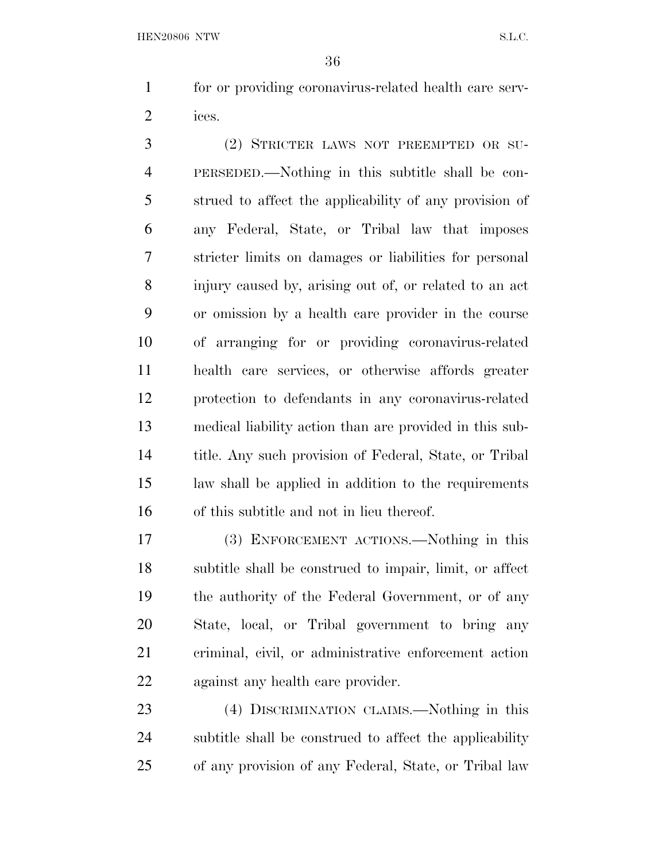for or providing coronavirus-related health care serv-ices.

 (2) STRICTER LAWS NOT PREEMPTED OR SU- PERSEDED.—Nothing in this subtitle shall be con- strued to affect the applicability of any provision of any Federal, State, or Tribal law that imposes stricter limits on damages or liabilities for personal injury caused by, arising out of, or related to an act or omission by a health care provider in the course of arranging for or providing coronavirus-related health care services, or otherwise affords greater protection to defendants in any coronavirus-related medical liability action than are provided in this sub- title. Any such provision of Federal, State, or Tribal law shall be applied in addition to the requirements of this subtitle and not in lieu thereof.

 (3) ENFORCEMENT ACTIONS.—Nothing in this subtitle shall be construed to impair, limit, or affect the authority of the Federal Government, or of any State, local, or Tribal government to bring any criminal, civil, or administrative enforcement action against any health care provider.

 (4) DISCRIMINATION CLAIMS.—Nothing in this subtitle shall be construed to affect the applicability of any provision of any Federal, State, or Tribal law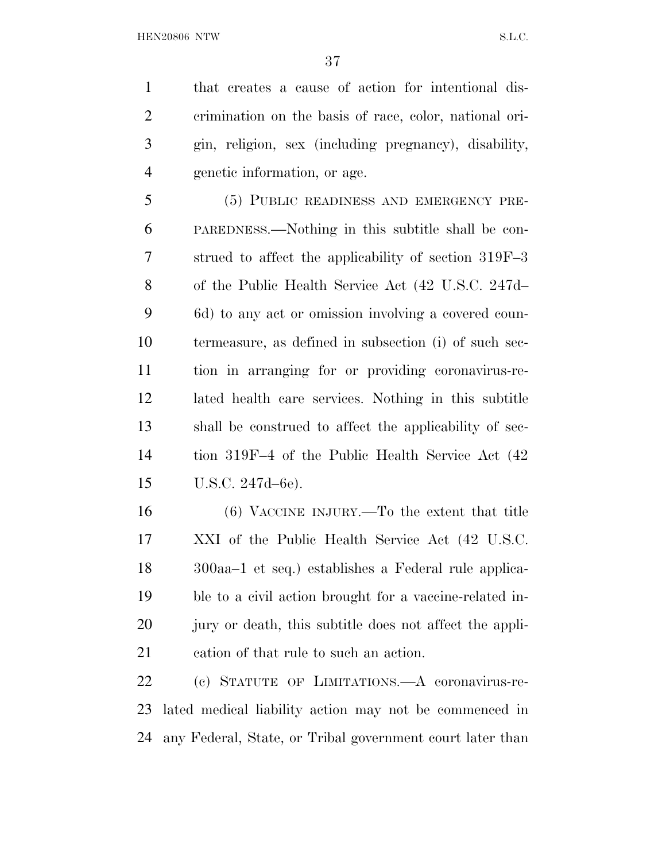that creates a cause of action for intentional dis- crimination on the basis of race, color, national ori- gin, religion, sex (including pregnancy), disability, genetic information, or age.

 (5) PUBLIC READINESS AND EMERGENCY PRE- PAREDNESS.—Nothing in this subtitle shall be con- strued to affect the applicability of section 319F–3 of the Public Health Service Act (42 U.S.C. 247d– 6d) to any act or omission involving a covered coun- termeasure, as defined in subsection (i) of such sec- tion in arranging for or providing coronavirus-re- lated health care services. Nothing in this subtitle shall be construed to affect the applicability of sec- tion 319F–4 of the Public Health Service Act (42 U.S.C. 247d–6e).

 (6) VACCINE INJURY.—To the extent that title XXI of the Public Health Service Act (42 U.S.C. 300aa–1 et seq.) establishes a Federal rule applica- ble to a civil action brought for a vaccine-related in-20 jury or death, this subtitle does not affect the appli-cation of that rule to such an action.

 (c) STATUTE OF LIMITATIONS.—A coronavirus-re- lated medical liability action may not be commenced in any Federal, State, or Tribal government court later than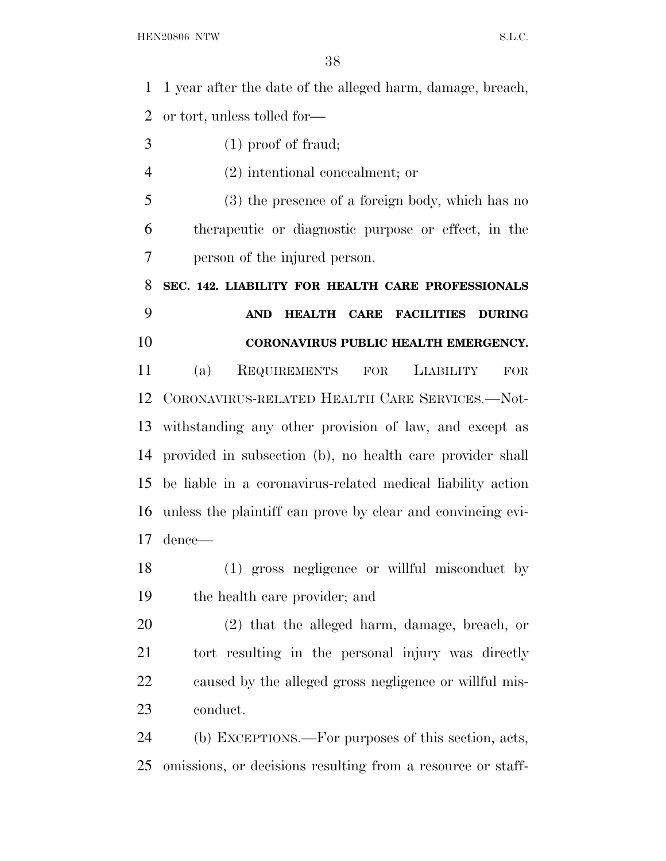1 year after the date of the alleged harm, damage, breach, or tort, unless tolled for— (1) proof of fraud; (2) intentional concealment; or (3) the presence of a foreign body, which has no therapeutic or diagnostic purpose or effect, in the person of the injured person. **SEC. 142. LIABILITY FOR HEALTH CARE PROFESSIONALS AND HEALTH CARE FACILITIES DURING CORONAVIRUS PUBLIC HEALTH EMERGENCY.**  (a) REQUIREMENTS FOR LIABILITY FOR CORONAVIRUS-RELATED HEALTH CARE SERVICES.—Not- withstanding any other provision of law, and except as provided in subsection (b), no health care provider shall be liable in a coronavirus-related medical liability action unless the plaintiff can prove by clear and convincing evi- dence— (1) gross negligence or willful misconduct by the health care provider; and (2) that the alleged harm, damage, breach, or tort resulting in the personal injury was directly caused by the alleged gross negligence or willful mis- conduct. (b) EXCEPTIONS.—For purposes of this section, acts, omissions, or decisions resulting from a resource or staff-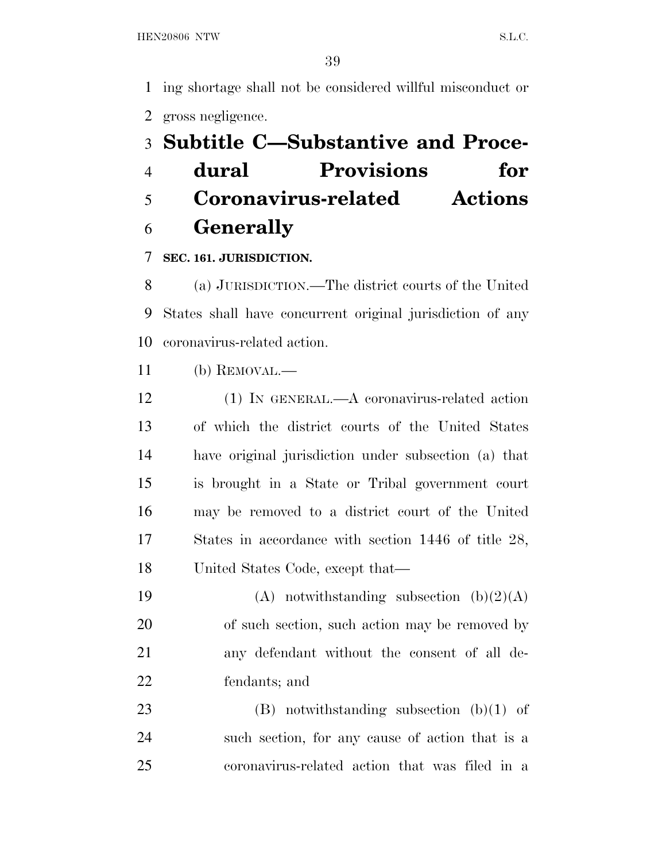ing shortage shall not be considered willful misconduct or gross negligence.

# **Subtitle C—Substantive and Proce-**

 **dural Provisions for Coronavirus-related Actions Generally** 

## **SEC. 161. JURISDICTION.**

 (a) JURISDICTION.—The district courts of the United States shall have concurrent original jurisdiction of any coronavirus-related action.

(b) REMOVAL.—

 (1) IN GENERAL.—A coronavirus-related action of which the district courts of the United States have original jurisdiction under subsection (a) that is brought in a State or Tribal government court may be removed to a district court of the United States in accordance with section 1446 of title 28, United States Code, except that—

 $(A)$  notwithstanding subsection  $(b)(2)(A)$  of such section, such action may be removed by any defendant without the consent of all de-fendants; and

 (B) notwithstanding subsection (b)(1) of such section, for any cause of action that is a coronavirus-related action that was filed in a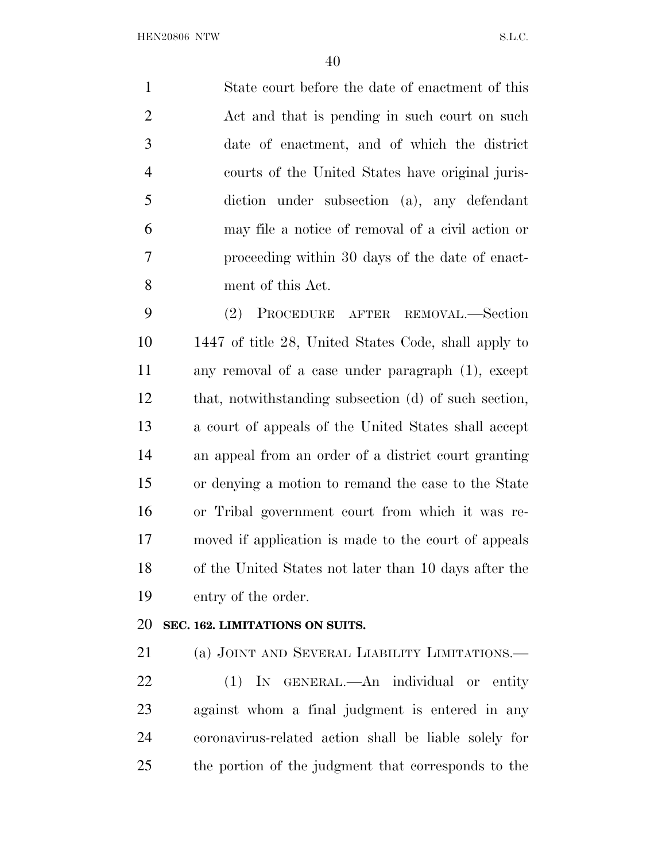State court before the date of enactment of this 2 Act and that is pending in such court on such date of enactment, and of which the district courts of the United States have original juris- diction under subsection (a), any defendant may file a notice of removal of a civil action or proceeding within 30 days of the date of enact-ment of this Act.

 (2) PROCEDURE AFTER REMOVAL.—Section 1447 of title 28, United States Code, shall apply to any removal of a case under paragraph (1), except that, notwithstanding subsection (d) of such section, a court of appeals of the United States shall accept an appeal from an order of a district court granting or denying a motion to remand the case to the State or Tribal government court from which it was re- moved if application is made to the court of appeals of the United States not later than 10 days after the entry of the order.

### **SEC. 162. LIMITATIONS ON SUITS.**

 (a) JOINT AND SEVERAL LIABILITY LIMITATIONS.— (1) IN GENERAL.—An individual or entity against whom a final judgment is entered in any

 coronavirus-related action shall be liable solely for the portion of the judgment that corresponds to the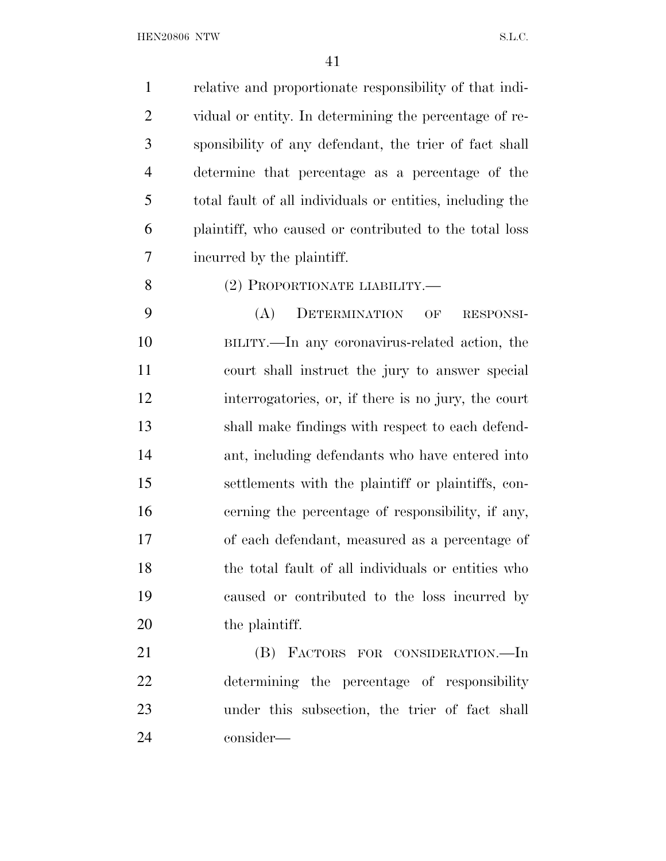relative and proportionate responsibility of that indi- vidual or entity. In determining the percentage of re- sponsibility of any defendant, the trier of fact shall determine that percentage as a percentage of the total fault of all individuals or entities, including the plaintiff, who caused or contributed to the total loss incurred by the plaintiff. (2) PROPORTIONATE LIABILITY.— (A) DETERMINATION OF RESPONSI- BILITY.—In any coronavirus-related action, the court shall instruct the jury to answer special interrogatories, or, if there is no jury, the court shall make findings with respect to each defend- ant, including defendants who have entered into settlements with the plaintiff or plaintiffs, con-cerning the percentage of responsibility, if any,

 of each defendant, measured as a percentage of the total fault of all individuals or entities who caused or contributed to the loss incurred by 20 the plaintiff.

 (B) FACTORS FOR CONSIDERATION.—In determining the percentage of responsibility under this subsection, the trier of fact shall consider—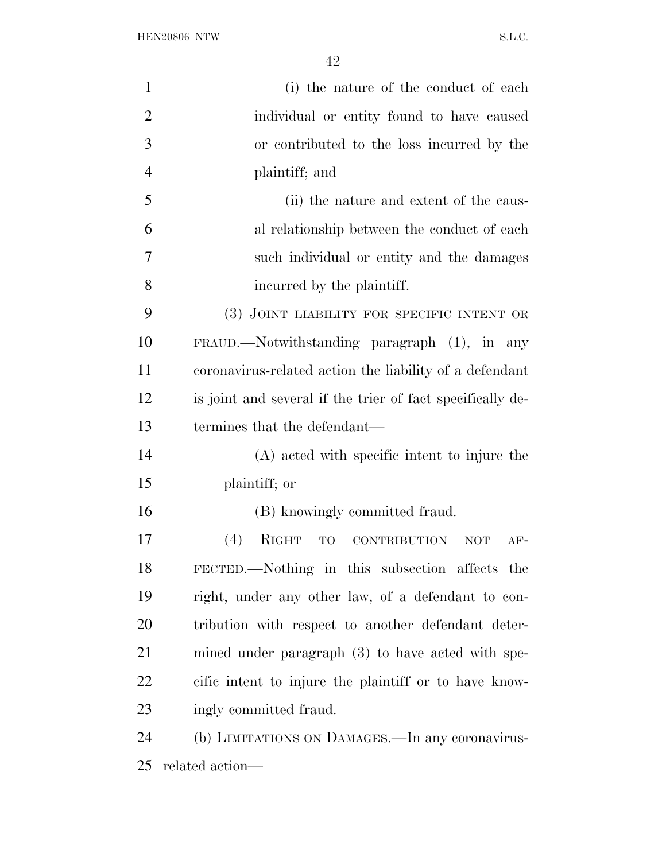| $\mathbf{1}$   | (i) the nature of the conduct of each                            |
|----------------|------------------------------------------------------------------|
| $\overline{2}$ | individual or entity found to have caused                        |
| 3              | or contributed to the loss incurred by the                       |
| $\overline{4}$ | plaintiff; and                                                   |
| 5              | (ii) the nature and extent of the caus-                          |
| 6              | al relationship between the conduct of each                      |
| 7              | such individual or entity and the damages                        |
| 8              | incurred by the plaintiff.                                       |
| 9              | (3) JOINT LIABILITY FOR SPECIFIC INTENT OR                       |
| 10             | $FRAUD$ . Notwithstanding paragraph $(1)$ , in any               |
| 11             | coronavirus-related action the liability of a defendant          |
| 12             | is joint and several if the trier of fact specifically de-       |
| 13             | termines that the defendant—                                     |
| 14             | (A) acted with specific intent to injure the                     |
| 15             | plaintiff; or                                                    |
| 16             | (B) knowingly committed fraud.                                   |
| 17             | (4)<br>RIGHT<br><b>CONTRIBUTION</b><br>TO<br><b>NOT</b><br>$AF-$ |
| 18             | FECTED.—Nothing in this subsection affects the                   |
| 19             | right, under any other law, of a defendant to con-               |
| 20             | tribution with respect to another defendant deter-               |
| 21             | mined under paragraph (3) to have acted with spe-                |
| 22             | cific intent to injure the plaintiff or to have know-            |
| 23             | ingly committed fraud.                                           |
| 24             | (b) LIMITATIONS ON DAMAGES.—In any coronavirus-                  |
| 25             | related action—                                                  |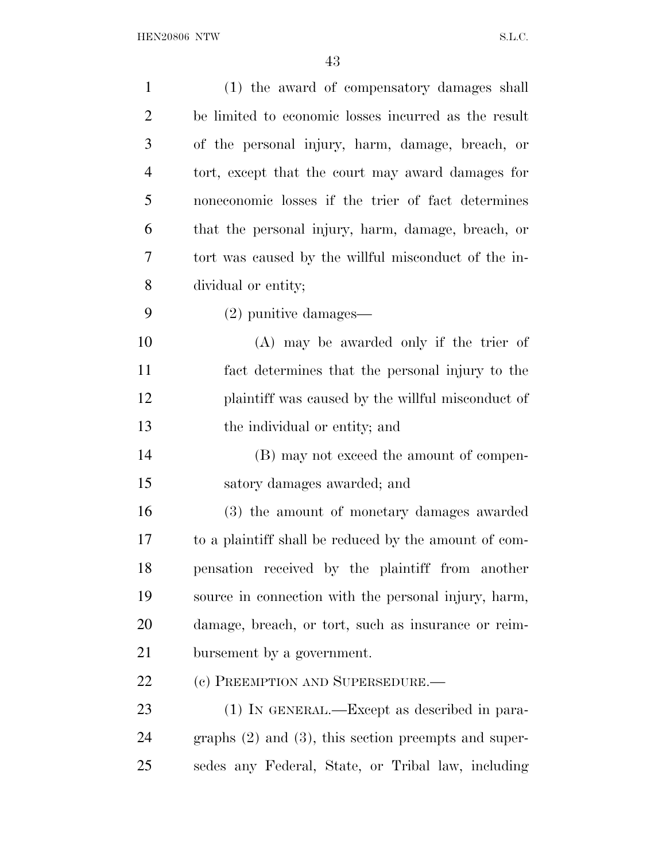| $\mathbf{1}$   | (1) the award of compensatory damages shall               |
|----------------|-----------------------------------------------------------|
| $\overline{2}$ | be limited to economic losses incurred as the result      |
| 3              | of the personal injury, harm, damage, breach, or          |
| $\overline{4}$ | tort, except that the court may award damages for         |
| 5              | noneconomic losses if the trier of fact determines        |
| 6              | that the personal injury, harm, damage, breach, or        |
| 7              | tort was caused by the willful misconduct of the in-      |
| 8              | dividual or entity;                                       |
| 9              | $(2)$ punitive damages—                                   |
| 10             | $(A)$ may be awarded only if the trier of                 |
| 11             | fact determines that the personal injury to the           |
| 12             | plaintiff was caused by the willful misconduct of         |
| 13             | the individual or entity; and                             |
| 14             | (B) may not exceed the amount of compen-                  |
| 15             | satory damages awarded; and                               |
| 16             | (3) the amount of monetary damages awarded                |
| 17             | to a plaint iff shall be reduced by the amount of com-    |
| 18             | pensation received by the plaintiff from another          |
| 19             | source in connection with the personal injury, harm,      |
| 20             | damage, breach, or tort, such as insurance or reim-       |
| 21             | bursement by a government.                                |
| <u>22</u>      | (c) PREEMPTION AND SUPERSEDURE.—                          |
| 23             | (1) IN GENERAL.—Except as described in para-              |
| 24             | graphs $(2)$ and $(3)$ , this section preempts and super- |
| 25             | sedes any Federal, State, or Tribal law, including        |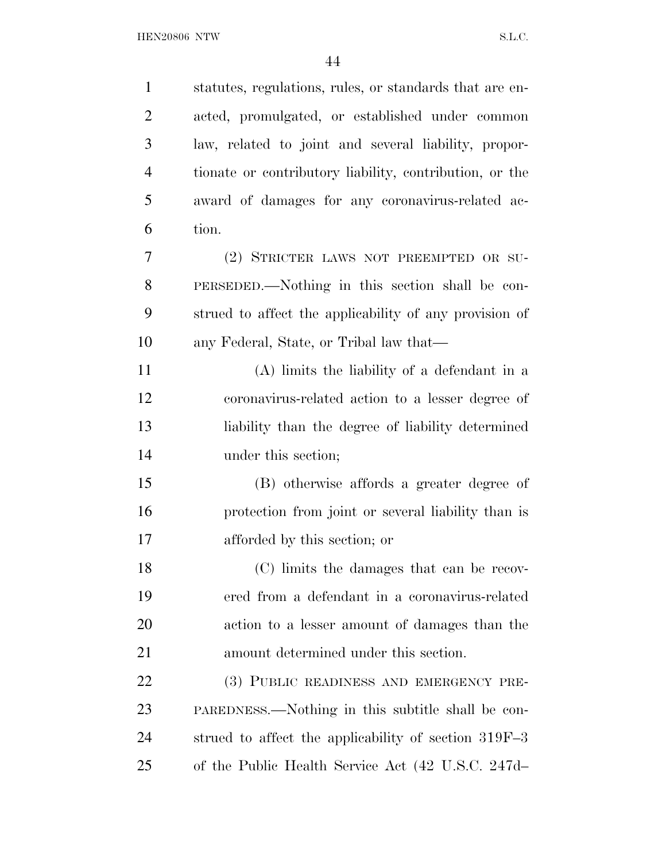| $\mathbf{1}$   | statutes, regulations, rules, or standards that are en- |
|----------------|---------------------------------------------------------|
| $\overline{2}$ | acted, promulgated, or established under common         |
| 3              | law, related to joint and several liability, propor-    |
| $\overline{4}$ | tionate or contributory liability, contribution, or the |
| 5              | award of damages for any coronavirus-related ac-        |
| 6              | tion.                                                   |
| 7              | (2) STRICTER LAWS NOT PREEMPTED OR SU-                  |
| 8              | PERSEDED.—Nothing in this section shall be con-         |
| 9              | strued to affect the applicability of any provision of  |
| 10             | any Federal, State, or Tribal law that—                 |
| 11             | (A) limits the liability of a defendant in a            |
| 12             | coronavirus-related action to a lesser degree of        |
| 13             | liability than the degree of liability determined       |
| 14             | under this section;                                     |
| 15             | (B) otherwise affords a greater degree of               |
| 16             | protection from joint or several liability than is      |
| 17             | afforded by this section; or                            |
| 18             | (C) limits the damages that can be recov-               |
| 19             | ered from a defendant in a coronavirus-related          |
| 20             | action to a lesser amount of damages than the           |
| 21             | amount determined under this section.                   |
| 22             | (3) PUBLIC READINESS AND EMERGENCY PRE-                 |
| 23             | PAREDNESS.—Nothing in this subtitle shall be con-       |
| 24             | strued to affect the applicability of section $319F-3$  |
| 25             | of the Public Health Service Act (42 U.S.C. 247d-       |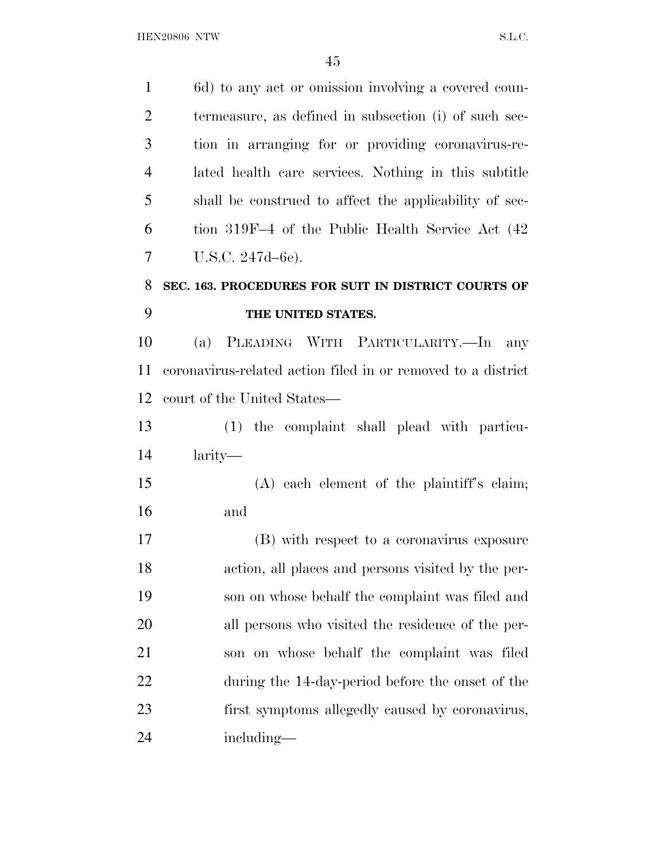6d) to any act or omission involving a covered coun- termeasure, as defined in subsection (i) of such sec- tion in arranging for or providing coronavirus-re- lated health care services. Nothing in this subtitle shall be construed to affect the applicability of sec- tion 319F–4 of the Public Health Service Act (42 U.S.C. 247d–6e). **SEC. 163. PROCEDURES FOR SUIT IN DISTRICT COURTS OF THE UNITED STATES.**  (a) PLEADING WITH PARTICULARITY.—In any coronavirus-related action filed in or removed to a district court of the United States— (1) the complaint shall plead with particu- larity— (A) each element of the plaintiff's claim; and (B) with respect to a coronavirus exposure action, all places and persons visited by the per- son on whose behalf the complaint was filed and all persons who visited the residence of the per- son on whose behalf the complaint was filed during the 14-day-period before the onset of the first symptoms allegedly caused by coronavirus, including—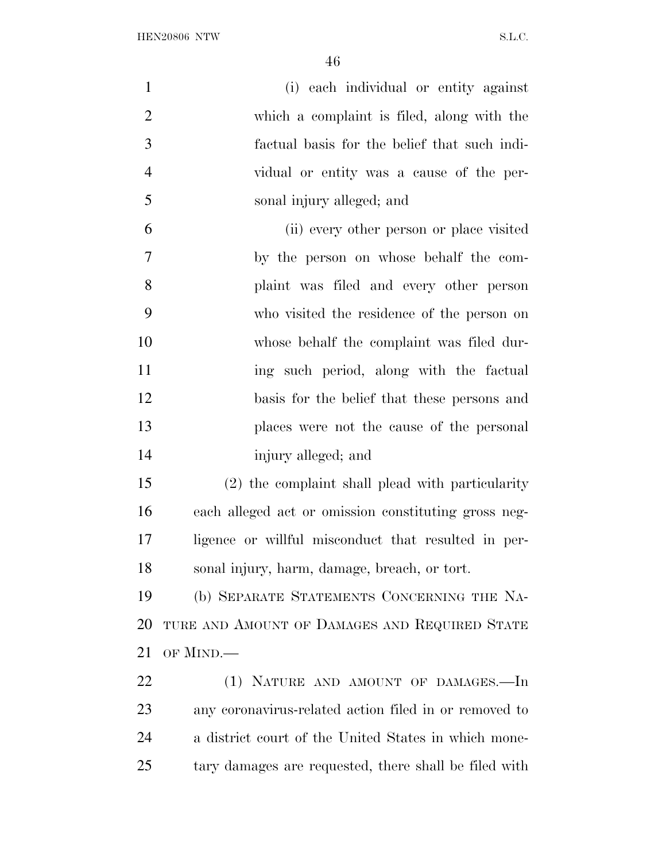| $\mathbf{1}$   | (i) each individual or entity against                 |
|----------------|-------------------------------------------------------|
| $\overline{2}$ | which a complaint is filed, along with the            |
| 3              | factual basis for the belief that such indi-          |
| $\overline{4}$ | vidual or entity was a cause of the per-              |
| 5              | sonal injury alleged; and                             |
| 6              | (ii) every other person or place visited              |
| $\overline{7}$ | by the person on whose behalf the com-                |
| 8              | plaint was filed and every other person               |
| 9              | who visited the residence of the person on            |
| 10             | whose behalf the complaint was filed dur-             |
| 11             | ing such period, along with the factual               |
| 12             | basis for the belief that these persons and           |
| 13             | places were not the cause of the personal             |
| 14             | injury alleged; and                                   |
| 15             | (2) the complaint shall plead with particularity      |
| 16             | each alleged act or omission constituting gross neg-  |
| 17             | ligence or willful misconduct that resulted in per-   |
| 18             | sonal injury, harm, damage, breach, or tort.          |
| 19             | (b) SEPARATE STATEMENTS CONCERNING THE NA-            |
| 20             | TURE AND AMOUNT OF DAMAGES AND REQUIRED STATE         |
| 21             | OF MIND.—                                             |
| 22             | (1) NATURE AND AMOUNT OF DAMAGES.-In                  |
| 23             | any coronavirus-related action filed in or removed to |
| 24             | a district court of the United States in which mone-  |
| 25             | tary damages are requested, there shall be filed with |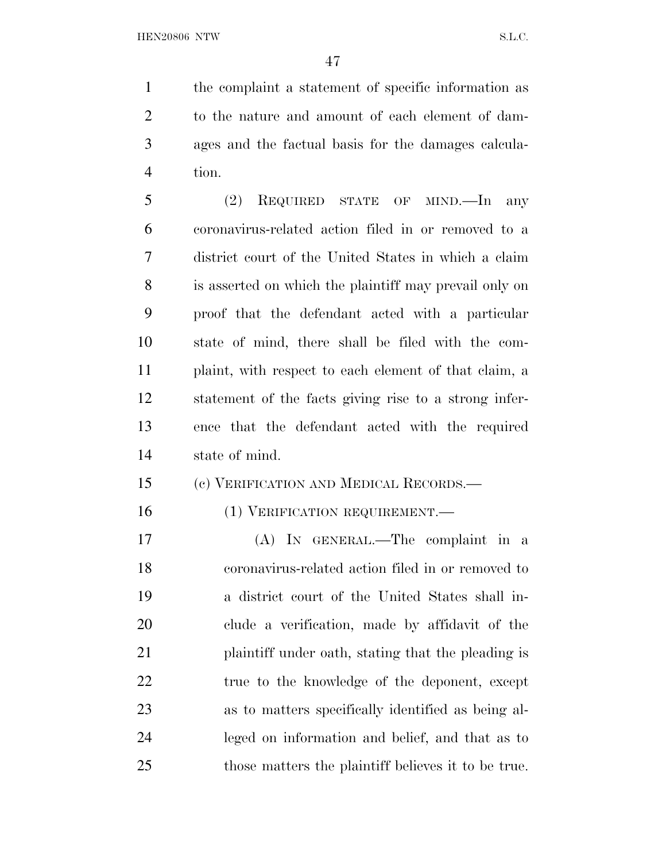the complaint a statement of specific information as to the nature and amount of each element of dam- ages and the factual basis for the damages calcula-tion.

 (2) REQUIRED STATE OF MIND.—In any coronavirus-related action filed in or removed to a district court of the United States in which a claim is asserted on which the plaintiff may prevail only on proof that the defendant acted with a particular state of mind, there shall be filed with the com- plaint, with respect to each element of that claim, a statement of the facts giving rise to a strong infer- ence that the defendant acted with the required state of mind.

### (c) VERIFICATION AND MEDICAL RECORDS.—

### 16 (1) VERIFICATION REQUIREMENT.

 (A) IN GENERAL.—The complaint in a coronavirus-related action filed in or removed to a district court of the United States shall in- clude a verification, made by affidavit of the 21 plaintiff under oath, stating that the pleading is 22 true to the knowledge of the deponent, except as to matters specifically identified as being al- leged on information and belief, and that as to those matters the plaintiff believes it to be true.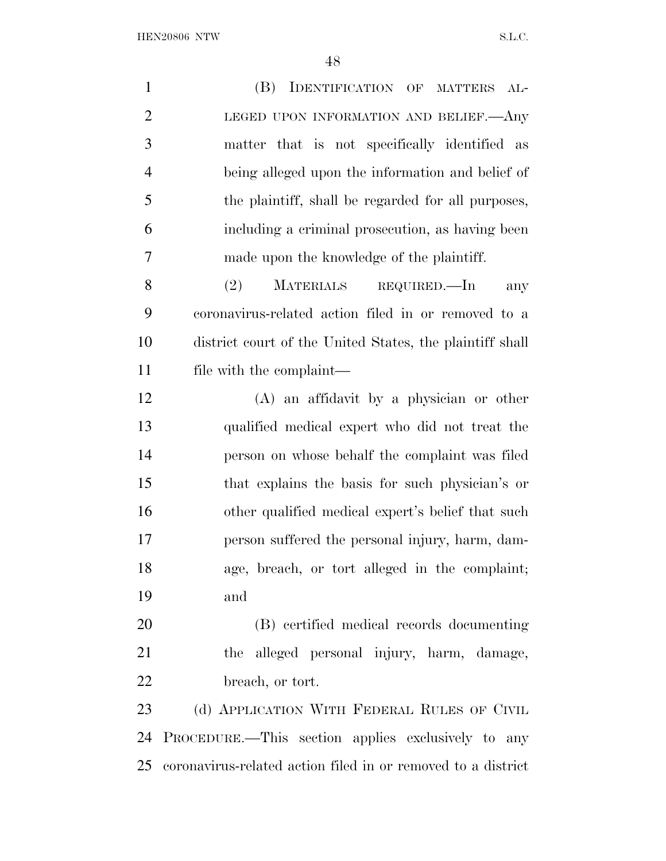${\bf HEN20806} \begin{tabular}{l} NTW \\ \hline \end{tabular} \begin{tabular}{l} \multicolumn{2}{l}{{\bf{N.5}}}\label{fig:10} \end{tabular}$ 

| $\mathbf{1}$   | (B)<br>IDENTIFICATION OF MATTERS<br>$AL-$                    |
|----------------|--------------------------------------------------------------|
| $\overline{2}$ | LEGED UPON INFORMATION AND BELIEF. Any                       |
| 3              | matter that is not specifically identified as                |
| $\overline{4}$ | being alleged upon the information and belief of             |
| 5              | the plaintiff, shall be regarded for all purposes,           |
| 6              | including a criminal prosecution, as having been             |
| 7              | made upon the knowledge of the plaintiff.                    |
| 8              | (2)<br>MATERIALS REQUIRED.—In<br>any                         |
| 9              | coronavirus-related action filed in or removed to a          |
| 10             | district court of the United States, the plaintiff shall     |
| 11             | file with the complaint—                                     |
| 12             | $(A)$ an affidavit by a physician or other                   |
| 13             | qualified medical expert who did not treat the               |
| 14             | person on whose behalf the complaint was filed               |
| 15             | that explains the basis for such physician's or              |
| 16             | other qualified medical expert's belief that such            |
| 17             | person suffered the personal injury, harm, dam-              |
| 18             | age, breach, or tort alleged in the complaint;               |
| 19             | and                                                          |
| 20             | (B) certified medical records documenting                    |
| 21             | the alleged personal injury, harm, damage,                   |
| 22             | breach, or tort.                                             |
| 23             | (d) APPLICATION WITH FEDERAL RULES OF CIVIL                  |
| 24             | PROCEDURE.—This section applies exclusively to any           |
| 25             | coronavirus-related action filed in or removed to a district |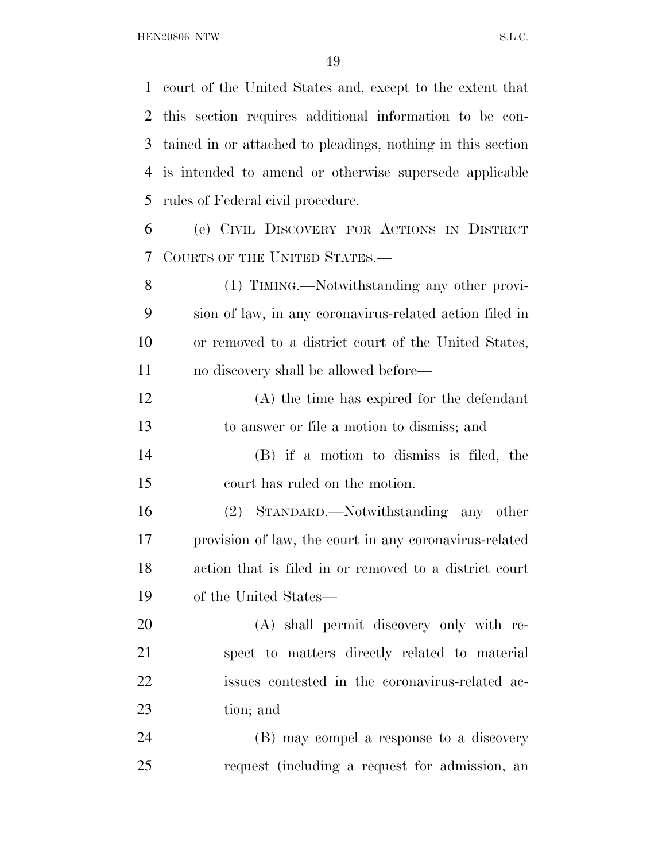court of the United States and, except to the extent that this section requires additional information to be con- tained in or attached to pleadings, nothing in this section is intended to amend or otherwise supersede applicable rules of Federal civil procedure. (e) CIVIL DISCOVERY FOR ACTIONS IN DISTRICT COURTS OF THE UNITED STATES.— (1) TIMING.—Notwithstanding any other provi- sion of law, in any coronavirus-related action filed in or removed to a district court of the United States, no discovery shall be allowed before— (A) the time has expired for the defendant to answer or file a motion to dismiss; and (B) if a motion to dismiss is filed, the court has ruled on the motion. (2) STANDARD.—Notwithstanding any other provision of law, the court in any coronavirus-related action that is filed in or removed to a district court of the United States— (A) shall permit discovery only with re- spect to matters directly related to material issues contested in the coronavirus-related ac- tion; and (B) may compel a response to a discovery request (including a request for admission, an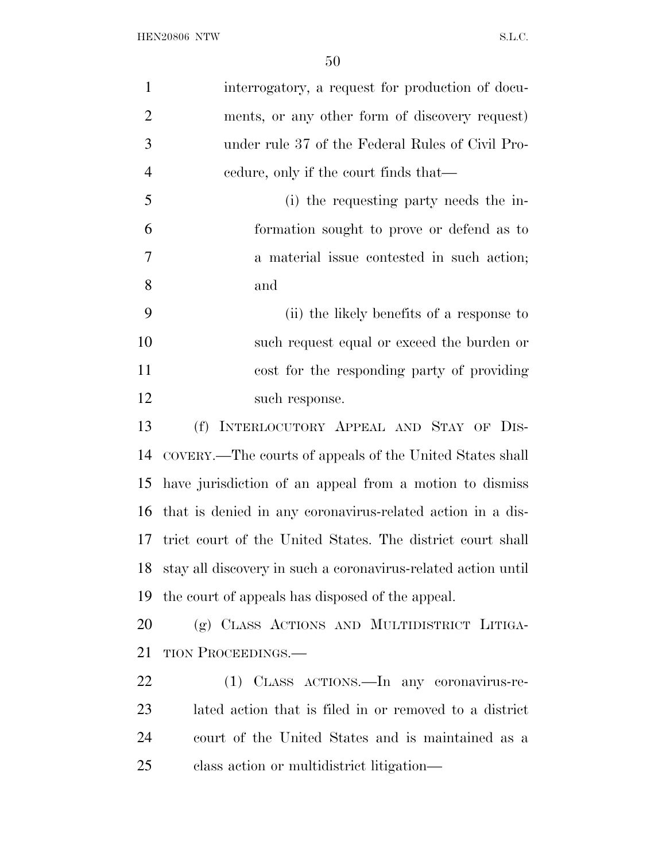| $\mathbf{1}$   | interrogatory, a request for production of docu-              |
|----------------|---------------------------------------------------------------|
| $\overline{2}$ | ments, or any other form of discovery request)                |
| 3              | under rule 37 of the Federal Rules of Civil Pro-              |
| $\overline{4}$ | eedure, only if the court finds that—                         |
| 5              | (i) the requesting party needs the in-                        |
| 6              | formation sought to prove or defend as to                     |
| 7              | a material issue contested in such action;                    |
| 8              | and                                                           |
| 9              | (ii) the likely benefits of a response to                     |
| 10             | such request equal or exceed the burden or                    |
| 11             | cost for the responding party of providing                    |
| 12             | such response.                                                |
| 13             | (f) INTERLOCUTORY APPEAL AND STAY OF DIS-                     |
| 14             | COVERY.—The courts of appeals of the United States shall      |
| 15             | have jurisdiction of an appeal from a motion to dismiss       |
| 16             | that is denied in any coronavirus-related action in a dis-    |
| 17             | trict court of the United States. The district court shall    |
| 18             | stay all discovery in such a coronavirus-related action until |
| 19             | the court of appeals has disposed of the appeal.              |
| <b>20</b>      | (g) CLASS ACTIONS AND MULTIDISTRICT LITIGA-                   |
| 21             | TION PROCEEDINGS.—                                            |
| 22             | (1) CLASS ACTIONS. In any coronavirus-re-                     |
| 23             | lated action that is filed in or removed to a district        |
| 24             | court of the United States and is maintained as a             |
| 25             | class action or multidistrict litigation-                     |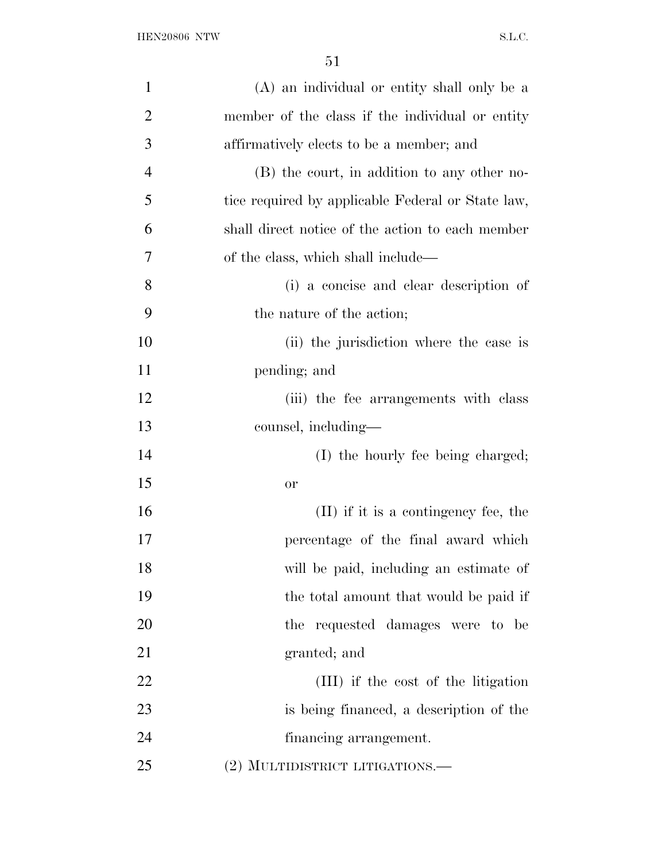| $\mathbf{1}$   | (A) an individual or entity shall only be a       |
|----------------|---------------------------------------------------|
| $\overline{2}$ | member of the class if the individual or entity   |
| 3              | affirmatively elects to be a member; and          |
| $\overline{4}$ | (B) the court, in addition to any other no-       |
| 5              | tice required by applicable Federal or State law, |
| 6              | shall direct notice of the action to each member  |
| 7              | of the class, which shall include—                |
| 8              | (i) a concise and clear description of            |
| 9              | the nature of the action;                         |
| 10             | (ii) the jurisdiction where the case is           |
| 11             | pending; and                                      |
| 12             | (iii) the fee arrangements with class             |
| 13             | counsel, including—                               |
| 14             | (I) the hourly fee being charged;                 |
| 15             | <b>or</b>                                         |
| 16             | (II) if it is a contingency fee, the              |
| 17             | percentage of the final award which               |
| 18             | will be paid, including an estimate of            |
| 19             | the total amount that would be paid if            |
| 20             | the requested damages were to be                  |
| 21             | granted; and                                      |
| 22             | (III) if the cost of the litigation               |
| 23             | is being financed, a description of the           |
| 24             | financing arrangement.                            |
| 25             | (2) MULTIDISTRICT LITIGATIONS.—                   |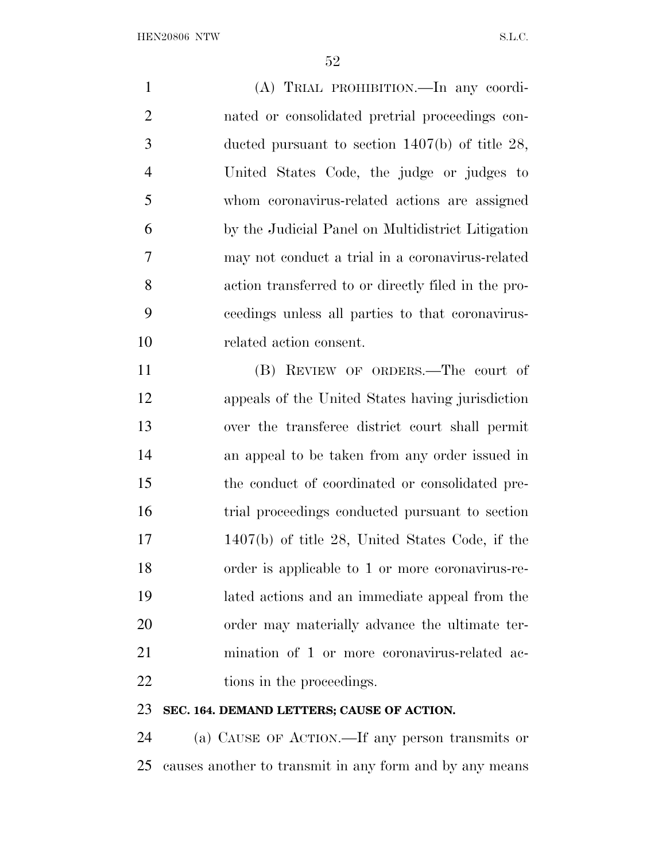(A) TRIAL PROHIBITION.—In any coordi- nated or consolidated pretrial proceedings con- ducted pursuant to section 1407(b) of title 28, United States Code, the judge or judges to whom coronavirus-related actions are assigned by the Judicial Panel on Multidistrict Litigation may not conduct a trial in a coronavirus-related action transferred to or directly filed in the pro- ceedings unless all parties to that coronavirus- related action consent. (B) REVIEW OF ORDERS.—The court of appeals of the United States having jurisdiction over the transferee district court shall permit an appeal to be taken from any order issued in the conduct of coordinated or consolidated pre- trial proceedings conducted pursuant to section 1407(b) of title 28, United States Code, if the order is applicable to 1 or more coronavirus-re-

 lated actions and an immediate appeal from the order may materially advance the ultimate ter- mination of 1 or more coronavirus-related ac-22 tions in the proceedings.

### **SEC. 164. DEMAND LETTERS; CAUSE OF ACTION.**

 (a) CAUSE OF ACTION.—If any person transmits or causes another to transmit in any form and by any means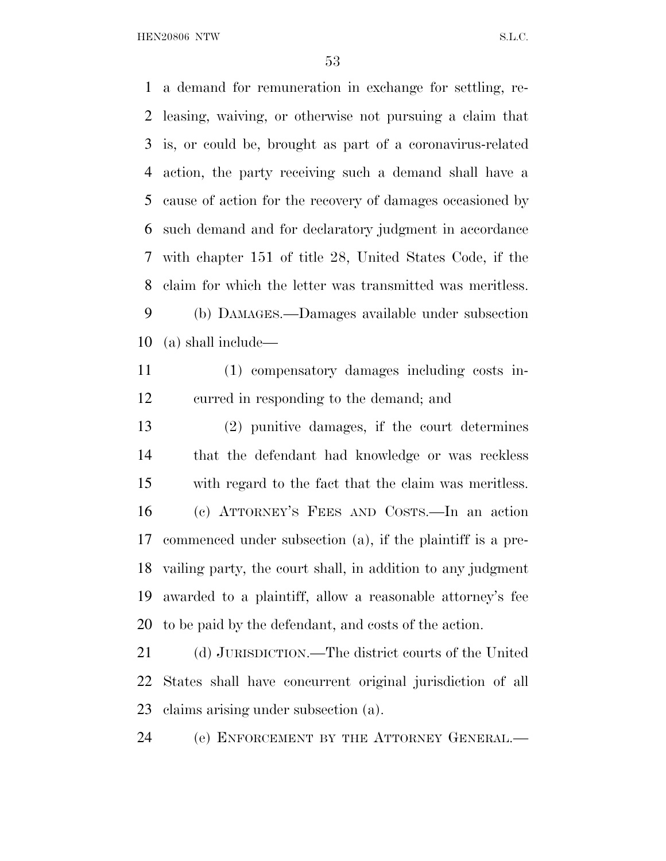a demand for remuneration in exchange for settling, re- leasing, waiving, or otherwise not pursuing a claim that is, or could be, brought as part of a coronavirus-related action, the party receiving such a demand shall have a cause of action for the recovery of damages occasioned by such demand and for declaratory judgment in accordance with chapter 151 of title 28, United States Code, if the claim for which the letter was transmitted was meritless. (b) DAMAGES.—Damages available under subsection

(a) shall include—

 (1) compensatory damages including costs in-curred in responding to the demand; and

 (2) punitive damages, if the court determines that the defendant had knowledge or was reckless with regard to the fact that the claim was meritless. (c) ATTORNEY'S FEES AND COSTS.—In an action commenced under subsection (a), if the plaintiff is a pre- vailing party, the court shall, in addition to any judgment awarded to a plaintiff, allow a reasonable attorney's fee to be paid by the defendant, and costs of the action.

 (d) JURISDICTION.—The district courts of the United States shall have concurrent original jurisdiction of all claims arising under subsection (a).

(e) ENFORCEMENT BY THE ATTORNEY GENERAL.—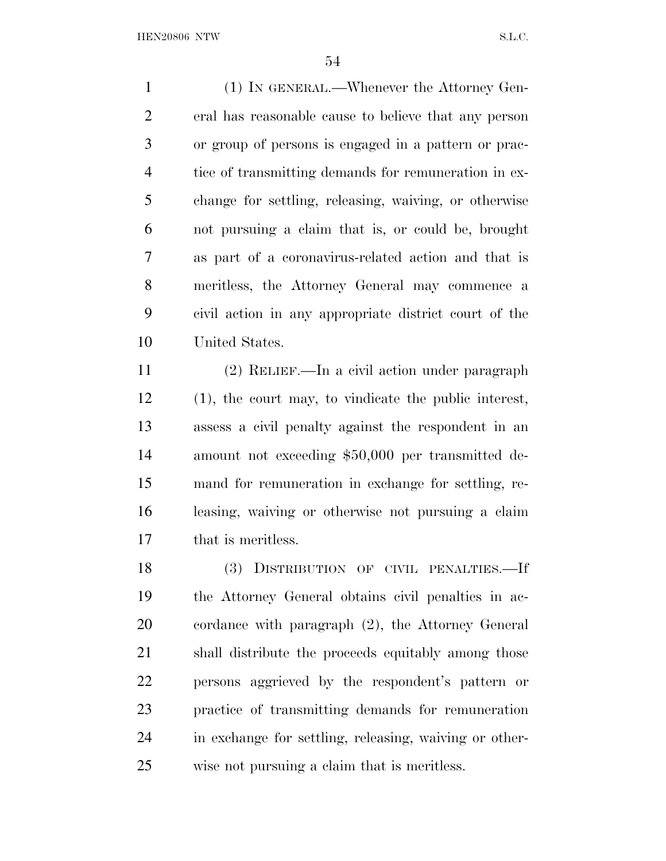(1) IN GENERAL.—Whenever the Attorney Gen- eral has reasonable cause to believe that any person or group of persons is engaged in a pattern or prac- tice of transmitting demands for remuneration in ex- change for settling, releasing, waiving, or otherwise not pursuing a claim that is, or could be, brought as part of a coronavirus-related action and that is meritless, the Attorney General may commence a civil action in any appropriate district court of the United States.

 (2) RELIEF.—In a civil action under paragraph (1), the court may, to vindicate the public interest, assess a civil penalty against the respondent in an amount not exceeding \$50,000 per transmitted de- mand for remuneration in exchange for settling, re- leasing, waiving or otherwise not pursuing a claim that is meritless.

 (3) DISTRIBUTION OF CIVIL PENALTIES.—If the Attorney General obtains civil penalties in ac- cordance with paragraph (2), the Attorney General shall distribute the proceeds equitably among those persons aggrieved by the respondent's pattern or practice of transmitting demands for remuneration in exchange for settling, releasing, waiving or other-wise not pursuing a claim that is meritless.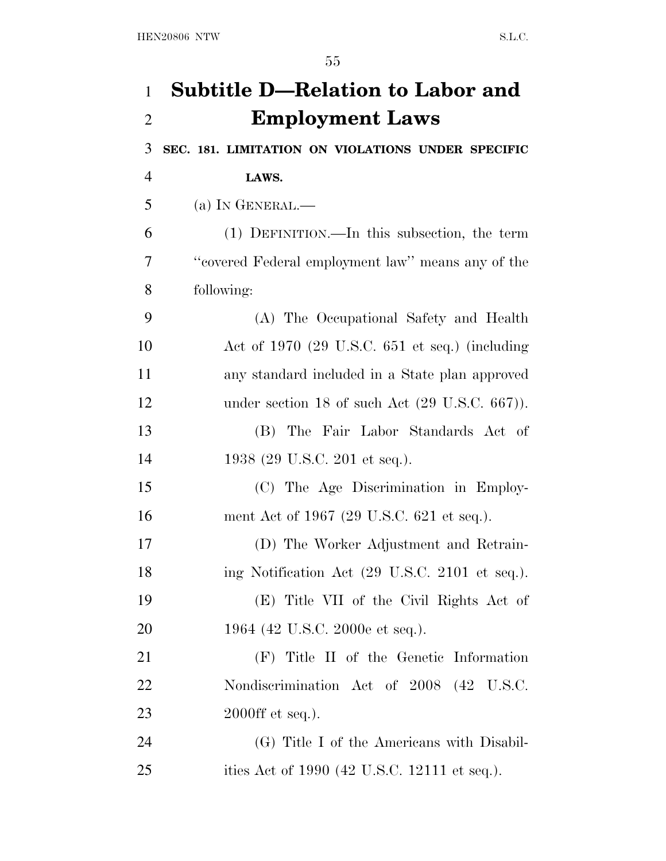| $\mathbf{1}$   | <b>Subtitle D-Relation to Labor and</b>                    |
|----------------|------------------------------------------------------------|
| $\overline{2}$ | <b>Employment Laws</b>                                     |
| 3              | SEC. 181. LIMITATION ON VIOLATIONS UNDER SPECIFIC          |
| $\overline{4}$ | LAWS.                                                      |
| 5              | (a) IN GENERAL.—                                           |
| 6              | (1) DEFINITION.—In this subsection, the term               |
| 7              | "covered Federal employment law" means any of the          |
| 8              | following:                                                 |
| 9              | (A) The Occupational Safety and Health                     |
| 10             | Act of $1970$ (29 U.S.C. 651 et seq.) (including           |
| 11             | any standard included in a State plan approved             |
| 12             | under section 18 of such Act $(29 \text{ U.S.C. } 667)$ ). |
| 13             | The Fair Labor Standards Act of<br>(B)                     |
| 14             | 1938 (29 U.S.C. 201 et seq.).                              |
| 15             | (C) The Age Discrimination in Employ-                      |
| 16             | ment Act of 1967 (29 U.S.C. 621 et seq.).                  |
| 17             | (D) The Worker Adjustment and Retrain-                     |
| 18             | ing Notification Act (29 U.S.C. 2101 et seq.).             |
| 19             | (E) Title VII of the Civil Rights Act of                   |
| 20             | 1964 (42 U.S.C. 2000e et seq.).                            |
| 21             | (F) Title II of the Genetic Information                    |
| 22             | Nondiscrimination Act of 2008 (42 U.S.C.                   |
| 23             | $2000\text{ff}$ et seq.).                                  |
| 24             | (G) Title I of the Americans with Disabil-                 |
| 25             | ities Act of 1990 (42 U.S.C. 12111 et seq.).               |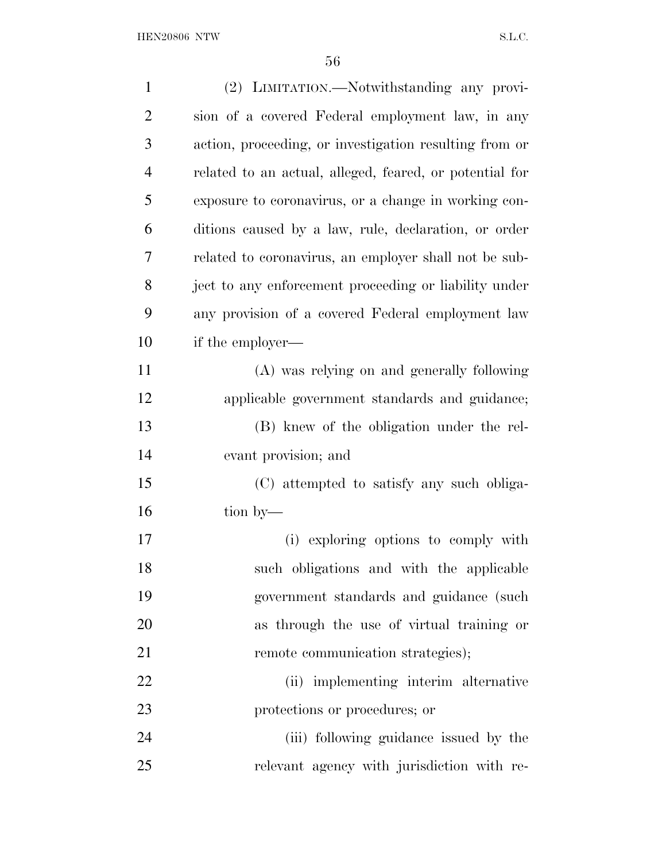| $\mathbf{1}$   | (2) LIMITATION.—Notwithstanding any provi-              |
|----------------|---------------------------------------------------------|
| $\overline{2}$ | sion of a covered Federal employment law, in any        |
| 3              | action, proceeding, or investigation resulting from or  |
| $\overline{4}$ | related to an actual, alleged, feared, or potential for |
| 5              | exposure to coronavirus, or a change in working con-    |
| 6              | ditions caused by a law, rule, declaration, or order    |
| 7              | related to coronavirus, an employer shall not be sub-   |
| 8              | ject to any enforcement proceeding or liability under   |
| 9              | any provision of a covered Federal employment law       |
| 10             | if the employer—                                        |
| 11             | (A) was relying on and generally following              |
| 12             | applicable government standards and guidance;           |
| 13             | (B) knew of the obligation under the rel-               |
| 14             | evant provision; and                                    |
| 15             | (C) attempted to satisfy any such obliga-               |
| 16             | tion by-                                                |
| 17             | (i) exploring options to comply with                    |
| 18             | such obligations and with the applicable                |
| 19             | government standards and guidance (such                 |
| 20             | as through the use of virtual training or               |
| 21             | remote communication strategies);                       |
| 22             | (ii) implementing interim alternative                   |
| 23             | protections or procedures; or                           |
| 24             | (iii) following guidance issued by the                  |
| 25             | relevant agency with jurisdiction with re-              |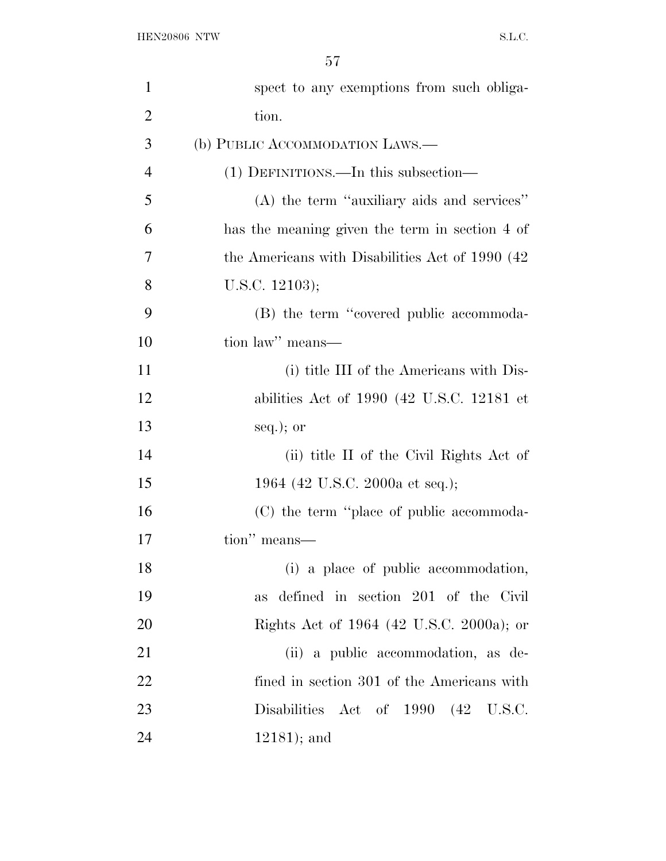| $\mathbf{1}$   | spect to any exemptions from such obliga-        |
|----------------|--------------------------------------------------|
| $\overline{2}$ | tion.                                            |
| 3              | (b) PUBLIC ACCOMMODATION LAWS.—                  |
| $\overline{4}$ | (1) DEFINITIONS.—In this subsection—             |
| 5              | (A) the term "auxiliary aids and services"       |
| 6              | has the meaning given the term in section 4 of   |
| 7              | the Americans with Disabilities Act of 1990 (42) |
| 8              | U.S.C. $12103$ );                                |
| 9              | (B) the term "covered public accommoda-          |
| 10             | tion law" means-                                 |
| 11             | (i) title III of the Americans with Dis-         |
| 12             | abilities Act of $1990$ (42 U.S.C. 12181 et      |
| 13             | $seq.$ ; or                                      |
| 14             | (ii) title II of the Civil Rights Act of         |
| 15             | 1964 (42 U.S.C. 2000a et seq.);                  |
| 16             | (C) the term "place of public accommoda-         |
| 17             | tion" means—                                     |
| 18             | (i) a place of public accommodation,             |
| 19             | defined in section 201 of the Civil<br>as        |
| 20             | Rights Act of 1964 (42 U.S.C. 2000a); or         |
| 21             | (ii) a public accommodation, as de-              |
| 22             | fined in section 301 of the Americans with       |
| 23             | Disabilities Act of 1990 (42 U.S.C.              |
| 24             | $12181$ ; and                                    |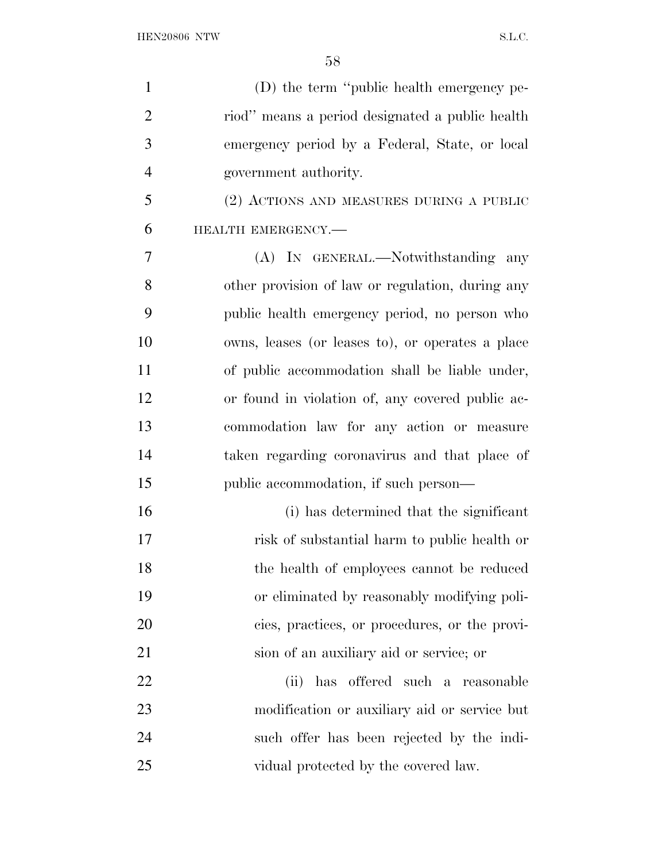| $\mathbf{1}$   | (D) the term "public health emergency pe-        |
|----------------|--------------------------------------------------|
| $\overline{2}$ | riod" means a period designated a public health  |
| 3              | emergency period by a Federal, State, or local   |
| $\overline{4}$ | government authority.                            |
| 5              | (2) ACTIONS AND MEASURES DURING A PUBLIC         |
| 6              | HEALTH EMERGENCY.-                               |
| 7              | (A) IN GENERAL.—Notwithstanding any              |
| 8              | other provision of law or regulation, during any |
| 9              | public health emergency period, no person who    |
| 10             | owns, leases (or leases to), or operates a place |
| 11             | of public accommodation shall be liable under,   |
| 12             | or found in violation of, any covered public ac- |
| 13             | commodation law for any action or measure        |
| 14             | taken regarding coronavirus and that place of    |
| 15             | public accommodation, if such person—            |
| 16             | (i) has determined that the significant          |
| 17             | risk of substantial harm to public health or     |
| 18             | the health of employees cannot be reduced        |
| 19             | or eliminated by reasonably modifying poli-      |
| 20             | cies, practices, or procedures, or the provi-    |
| 21             | sion of an auxiliary aid or service; or          |
| 22             | has offered such a<br>(ii)<br>reasonable         |
| 23             | modification or auxiliary aid or service but     |
| 24             | such offer has been rejected by the indi-        |
| 25             | vidual protected by the covered law.             |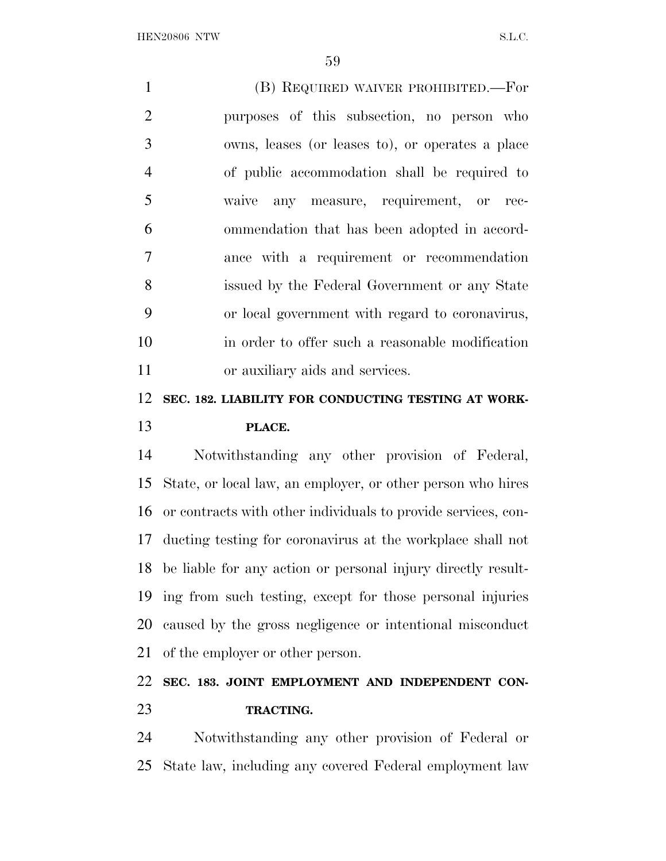(B) REQUIRED WAIVER PROHIBITED.—For purposes of this subsection, no person who owns, leases (or leases to), or operates a place of public accommodation shall be required to waive any measure, requirement, or rec- ommendation that has been adopted in accord- ance with a requirement or recommendation issued by the Federal Government or any State or local government with regard to coronavirus, in order to offer such a reasonable modification or auxiliary aids and services.

## **SEC. 182. LIABILITY FOR CONDUCTING TESTING AT WORK-PLACE.**

 Notwithstanding any other provision of Federal, State, or local law, an employer, or other person who hires or contracts with other individuals to provide services, con- ducting testing for coronavirus at the workplace shall not be liable for any action or personal injury directly result- ing from such testing, except for those personal injuries caused by the gross negligence or intentional misconduct of the employer or other person.

## **SEC. 183. JOINT EMPLOYMENT AND INDEPENDENT CON-TRACTING.**

 Notwithstanding any other provision of Federal or State law, including any covered Federal employment law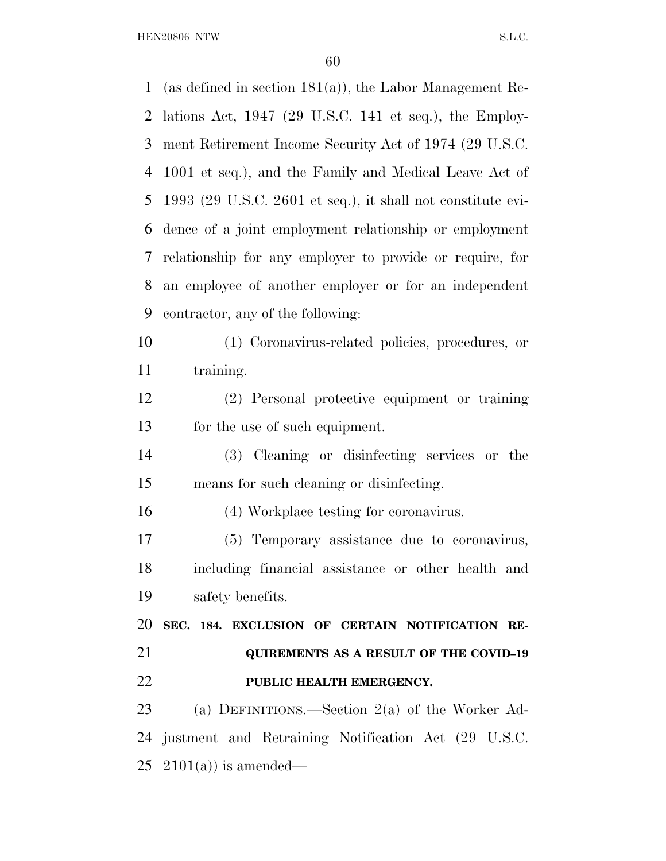(as defined in section 181(a)), the Labor Management Re- lations Act, 1947 (29 U.S.C. 141 et seq.), the Employ- ment Retirement Income Security Act of 1974 (29 U.S.C. 1001 et seq.), and the Family and Medical Leave Act of 1993 (29 U.S.C. 2601 et seq.), it shall not constitute evi- dence of a joint employment relationship or employment relationship for any employer to provide or require, for an employee of another employer or for an independent contractor, any of the following: (1) Coronavirus-related policies, procedures, or 11 training. (2) Personal protective equipment or training for the use of such equipment. (3) Cleaning or disinfecting services or the means for such cleaning or disinfecting. (4) Workplace testing for coronavirus. (5) Temporary assistance due to coronavirus, including financial assistance or other health and safety benefits. **SEC. 184. EXCLUSION OF CERTAIN NOTIFICATION RE- QUIREMENTS AS A RESULT OF THE COVID–19 PUBLIC HEALTH EMERGENCY.**  (a) DEFINITIONS.—Section 2(a) of the Worker Ad- justment and Retraining Notification Act (29 U.S.C. 25 2101(a)) is amended—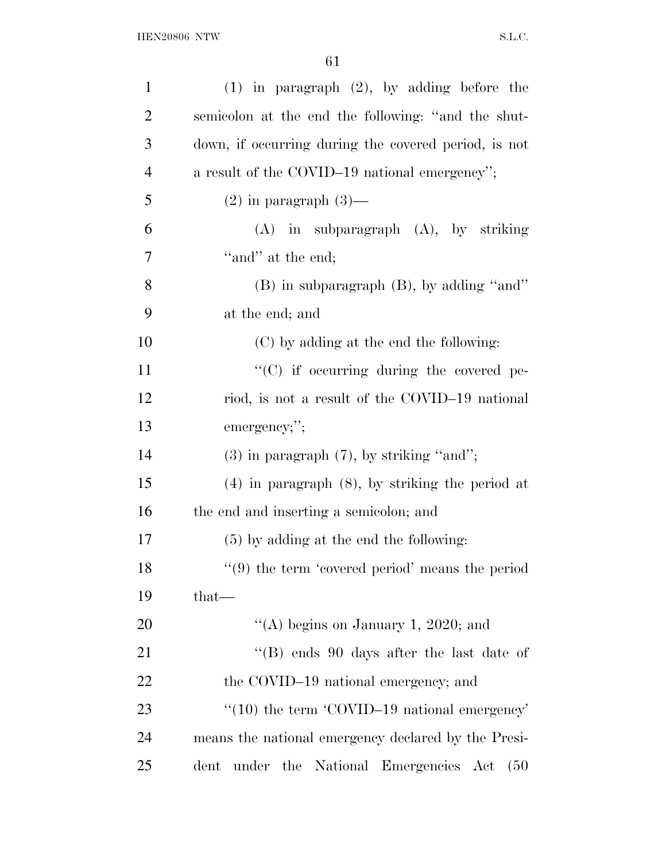| $\mathbf{1}$   | $(1)$ in paragraph $(2)$ , by adding before the                |
|----------------|----------------------------------------------------------------|
| $\overline{2}$ | semicolon at the end the following: "and the shut-             |
| 3              | down, if occurring during the covered period, is not           |
| $\overline{4}$ | a result of the COVID-19 national emergency";                  |
| 5              | $(2)$ in paragraph $(3)$ —                                     |
| 6              | $(A)$ in subparagraph $(A)$ , by striking                      |
| 7              | "and" at the end;                                              |
| 8              | (B) in subparagraph (B), by adding "and"                       |
| 9              | at the end; and                                                |
| 10             | (C) by adding at the end the following:                        |
| 11             | "(C) if occurring during the covered pe-                       |
| 12             | riod, is not a result of the COVID-19 national                 |
| 13             | emergency;";                                                   |
| 14             | $(3)$ in paragraph $(7)$ , by striking "and";                  |
| 15             | $(4)$ in paragraph $(8)$ , by striking the period at           |
| 16             | the end and inserting a semicolon; and                         |
| 17             | $(5)$ by adding at the end the following:                      |
| 18             | $"$ (9) the term 'covered period' means the period             |
| 19             | $that$ —                                                       |
| 20             | "(A) begins on January 1, 2020; and                            |
| 21             | "(B) ends 90 days after the last date of                       |
| 22             | the COVID-19 national emergency; and                           |
| 23             | $\cdot\cdot(10)$ the term $\cdot$ COVID-19 national emergency' |
| 24             | means the national emergency declared by the Presi-            |
| 25             | under the National Emergencies Act<br>dent<br>(50)             |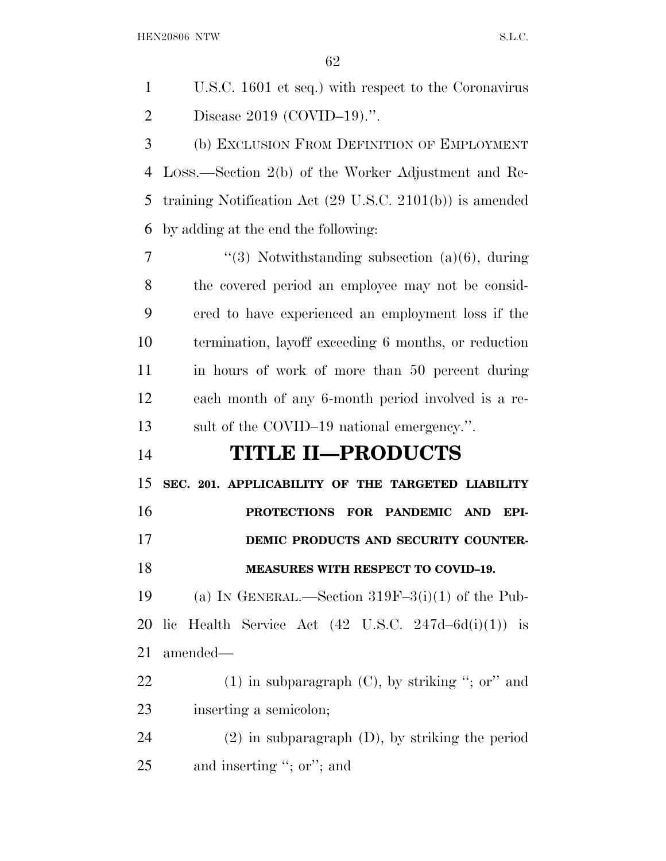U.S.C. 1601 et seq.) with respect to the Coronavirus Disease 2019 (COVID–19).''.

 (b) EXCLUSION FROM DEFINITION OF EMPLOYMENT LOSS.—Section 2(b) of the Worker Adjustment and Re- training Notification Act (29 U.S.C. 2101(b)) is amended by adding at the end the following:

 $7 \t$  ''(3) Notwithstanding subsection (a)(6), during the covered period an employee may not be consid- ered to have experienced an employment loss if the termination, layoff exceeding 6 months, or reduction in hours of work of more than 50 percent during each month of any 6-month period involved is a re-sult of the COVID–19 national emergency.''.

## **TITLE II—PRODUCTS**

 **SEC. 201. APPLICABILITY OF THE TARGETED LIABILITY PROTECTIONS FOR PANDEMIC AND EPI-DEMIC PRODUCTS AND SECURITY COUNTER-**

### **MEASURES WITH RESPECT TO COVID–19.**

19 (a) IN GENERAL.—Section  $319F-3(i)(1)$  of the Pub-20 lic Health Service Act  $(42 \text{ U.S.C. } 247d - 6d(i)(1))$  is amended—

22 (1) in subparagraph  $(C)$ , by striking "; or" and inserting a semicolon;

 (2) in subparagraph (D), by striking the period and inserting ''; or''; and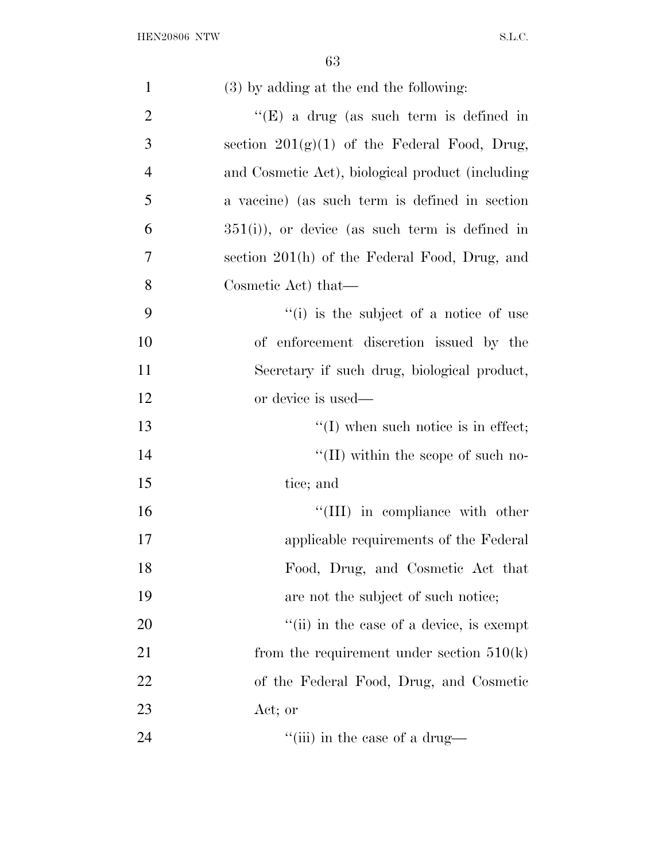| $\mathbf{1}$   | (3) by adding at the end the following:                    |
|----------------|------------------------------------------------------------|
| $\overline{2}$ | "(E) a drug (as such term is defined in                    |
| 3              | section $201(g)(1)$ of the Federal Food, Drug,             |
| $\overline{4}$ | and Cosmetic Act), biological product (including           |
| 5              | a vaccine) (as such term is defined in section             |
| 6              | $351(i)$ , or device (as such term is defined in           |
| 7              | section 201(h) of the Federal Food, Drug, and              |
| 8              | Cosmetic Act) that—                                        |
| 9              | $f'(i)$ is the subject of a notice of use                  |
| 10             | of enforcement discretion issued by the                    |
| 11             | Secretary if such drug, biological product,                |
| 12             | or device is used—                                         |
| 13             | $\lq\lq$ (I) when such notice is in effect;                |
| 14             | $\lq\lq$ (II) within the scope of such no-                 |
| 15             | tice; and                                                  |
| 16             | "(III) in compliance with other                            |
| 17             | applicable requirements of the Federal                     |
| 18             | Food, Drug, and Cosmetic Act that                          |
| 19             | are not the subject of such notice;                        |
| 20             | $\lq$ <sup>"</sup> (ii) in the case of a device, is exempt |
| 21             | from the requirement under section $510(k)$                |
| 22             | of the Federal Food, Drug, and Cosmetic                    |
| 23             | Act; or                                                    |
| 24             | $\lq$ <sup>"</sup> (iii) in the case of a drug—            |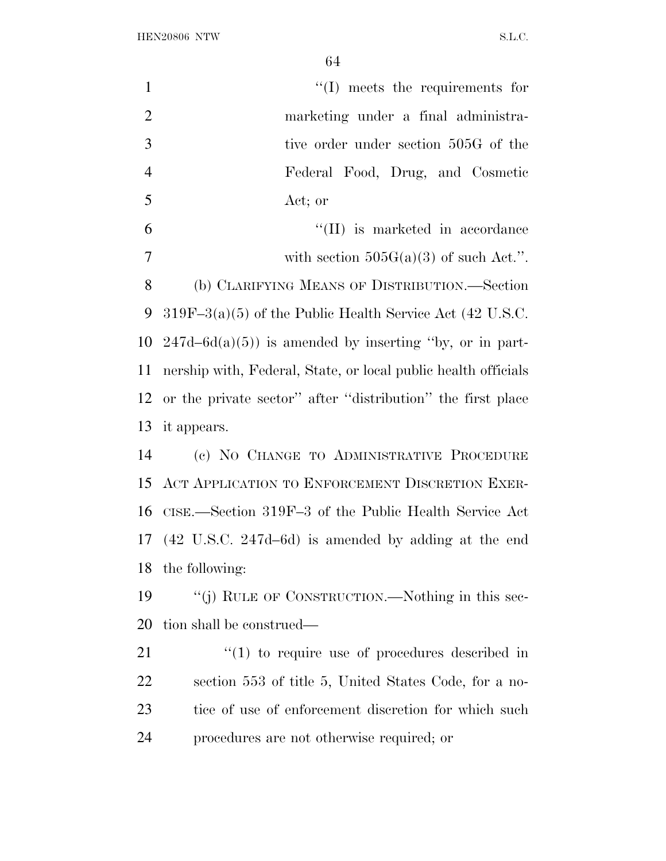| $\mathbf{1}$   | $\lq\lq$ (I) meets the requirements for                        |
|----------------|----------------------------------------------------------------|
| $\overline{2}$ | marketing under a final administra-                            |
| 3              | tive order under section 505G of the                           |
| $\overline{4}$ | Federal Food, Drug, and Cosmetic                               |
| 5              | Act; or                                                        |
| 6              | $\lq\lq$ (II) is marketed in accordance                        |
| $\tau$         | with section $505G(a)(3)$ of such Act.".                       |
| 8              | (b) CLARIFYING MEANS OF DISTRIBUTION.—Section                  |
| 9              | $319F-3(a)(5)$ of the Public Health Service Act (42 U.S.C.     |
| 10             | $247d-6d(a)(5)$ is amended by inserting "by, or in part-       |
| 11             | nership with, Federal, State, or local public health officials |
| 12             | or the private sector" after "distribution" the first place    |
| 13             | it appears.                                                    |
| 14             | (c) NO CHANGE TO ADMINISTRATIVE PROCEDURE                      |
|                | 15 ACT APPLICATION TO ENFORCEMENT DISCRETION EXER-             |
|                | 16 CISE.—Section 319F-3 of the Public Health Service Act       |
|                | 17 (42 U.S.C. 247d–6d) is amended by adding at the end         |
|                | 18 the following:                                              |
| 19             | "(j) RULE OF CONSTRUCTION.—Nothing in this sec-                |
| 20             | tion shall be construed—                                       |
| 21             | $\lq(1)$ to require use of procedures described in             |
| 22             | section 553 of title 5, United States Code, for a no-          |
| 23             | tice of use of enforcement discretion for which such           |
|                |                                                                |